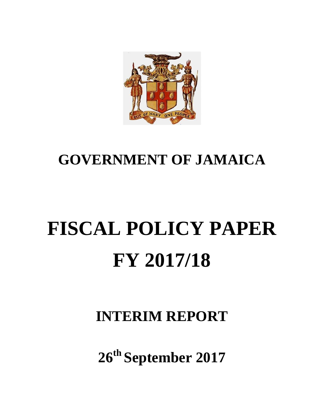

# **GOVERNMENT OF JAMAICA**

# **FISCAL POLICY PAPER FY 2017/18**

**INTERIM REPORT**

**26th September 2017**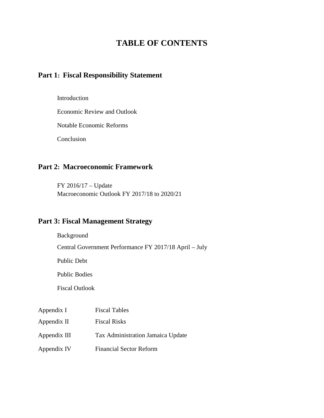# **TABLE OF CONTENTS**

# **Part 1: Fiscal Responsibility Statement**

#### Introduction

Economic Review and Outlook

Notable Economic Reforms

Conclusion

# **Part 2: Macroeconomic Framework**

FY 2016/17 – Update Macroeconomic Outlook FY 2017/18 to 2020/21

# **Part 3: Fiscal Management Strategy**

Background

Central Government Performance FY 2017/18 April – July

Public Debt

Public Bodies

Fiscal Outlook

| Appendix I   | <b>Fiscal Tables</b>              |
|--------------|-----------------------------------|
| Appendix II  | <b>Fiscal Risks</b>               |
| Appendix III | Tax Administration Jamaica Update |
| Appendix IV  | <b>Financial Sector Reform</b>    |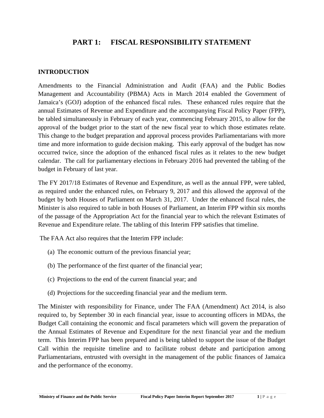# **PART 1: FISCAL RESPONSIBILITY STATEMENT**

# **INTRODUCTION**

Amendments to the Financial Administration and Audit (FAA) and the Public Bodies Management and Accountability (PBMA) Acts in March 2014 enabled the Government of Jamaica's (GOJ) adoption of the enhanced fiscal rules. These enhanced rules require that the annual Estimates of Revenue and Expenditure and the accompanying Fiscal Policy Paper (FPP), be tabled simultaneously in February of each year, commencing February 2015, to allow for the approval of the budget prior to the start of the new fiscal year to which those estimates relate. This change to the budget preparation and approval process provides Parliamentarians with more time and more information to guide decision making. This early approval of the budget has now occurred twice, since the adoption of the enhanced fiscal rules as it relates to the new budget calendar. The call for parliamentary elections in February 2016 had prevented the tabling of the budget in February of last year.

The FY 2017/18 Estimates of Revenue and Expenditure, as well as the annual FPP, were tabled, as required under the enhanced rules, on February 9, 2017 and this allowed the approval of the budget by both Houses of Parliament on March 31, 2017. Under the enhanced fiscal rules, the Minister is also required to table in both Houses of Parliament, an Interim FPP within six months of the passage of the Appropriation Act for the financial year to which the relevant Estimates of Revenue and Expenditure relate. The tabling of this Interim FPP satisfies that timeline.

The FAA Act also requires that the Interim FPP include:

- (a) The economic outturn of the previous financial year;
- (b) The performance of the first quarter of the financial year;
- (c) Projections to the end of the current financial year; and
- (d) Projections for the succeeding financial year and the medium term.

The Minister with responsibility for Finance, under The FAA (Amendment) Act 2014, is also required to, by September 30 in each financial year, issue to accounting officers in MDAs, the Budget Call containing the economic and fiscal parameters which will govern the preparation of the Annual Estimates of Revenue and Expenditure for the next financial year and the medium term. This Interim FPP has been prepared and is being tabled to support the issue of the Budget Call within the requisite timeline and to facilitate robust debate and participation among Parliamentarians, entrusted with oversight in the management of the public finances of Jamaica and the performance of the economy.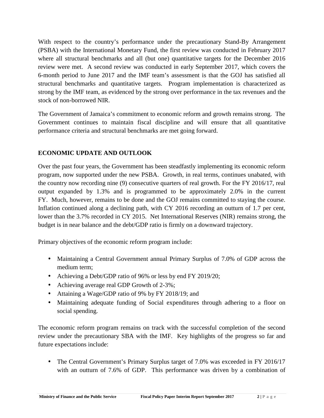With respect to the country's performance under the precautionary Stand-By Arrangement (PSBA) with the International Monetary Fund, the first review was conducted in February 2017 where all structural benchmarks and all (but one) quantitative targets for the December 2016 review were met. A second review was conducted in early September 2017, which covers the 6-month period to June 2017 and the IMF team's assessment is that the GOJ has satisfied all structural benchmarks and quantitative targets. Program implementation is characterized as strong by the IMF team, as evidenced by the strong over performance in the tax revenues and the stock of non-borrowed NIR.

The Government of Jamaica's commitment to economic reform and growth remains strong. The Government continues to maintain fiscal discipline and will ensure that all quantitative performance criteria and structural benchmarks are met going forward.

# **ECONOMIC UPDATE AND OUTLOOK**

Over the past four years, the Government has been steadfastly implementing its economic reform program, now supported under the new PSBA. Growth, in real terms, continues unabated, with the country now recording nine (9) consecutive quarters of real growth. For the FY 2016/17, real output expanded by 1.3% and is programmed to be approximately 2.0% in the current FY. Much, however, remains to be done and the GOJ remains committed to staying the course. Inflation continued along a declining path, with CY 2016 recording an outturn of 1.7 per cent, lower than the 3.7% recorded in CY 2015. Net International Reserves (NIR) remains strong, the budget is in near balance and the debt/GDP ratio is firmly on a downward trajectory.

Primary objectives of the economic reform program include:

- Maintaining a Central Government annual Primary Surplus of 7.0% of GDP across the medium term;
- Achieving a Debt/GDP ratio of 96% or less by end FY 2019/20;
- Achieving average real GDP Growth of 2-3%;
- Attaining a Wage/GDP ratio of 9% by FY 2018/19; and
- Maintaining adequate funding of Social expenditures through adhering to a floor on social spending.

The economic reform program remains on track with the successful completion of the second review under the precautionary SBA with the IMF. Key highlights of the progress so far and future expectations include:

• The Central Government's Primary Surplus target of 7.0% was exceeded in FY 2016/17 with an outturn of 7.6% of GDP. This performance was driven by a combination of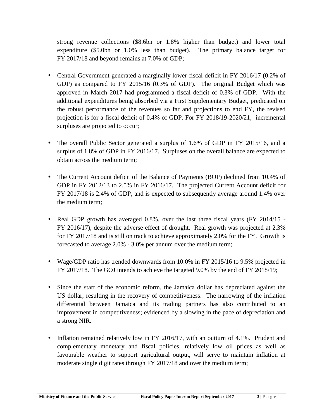strong revenue collections (\$8.6bn or 1.8% higher than budget) and lower total expenditure (\$5.0bn or 1.0% less than budget). The primary balance target for FY 2017/18 and beyond remains at 7.0% of GDP;

- Central Government generated a marginally lower fiscal deficit in FY 2016/17 (0.2% of GDP) as compared to FY 2015/16 (0.3% of GDP). The original Budget which was approved in March 2017 had programmed a fiscal deficit of 0.3% of GDP. With the additional expenditures being absorbed via a First Supplementary Budget, predicated on the robust performance of the revenues so far and projections to end FY, the revised projection is for a fiscal deficit of 0.4% of GDP. For FY 2018/19-2020/21, incremental surpluses are projected to occur;
- The overall Public Sector generated a surplus of 1.6% of GDP in FY 2015/16, and a surplus of 1.8% of GDP in FY 2016/17. Surpluses on the overall balance are expected to obtain across the medium term;
- The Current Account deficit of the Balance of Payments (BOP) declined from 10.4% of GDP in FY 2012/13 to 2.5% in FY 2016/17. The projected Current Account deficit for FY 2017/18 is 2.4% of GDP, and is expected to subsequently average around 1.4% over the medium term;
- Real GDP growth has averaged 0.8%, over the last three fiscal years (FY 2014/15 -FY 2016/17), despite the adverse effect of drought. Real growth was projected at 2.3% for FY 2017/18 and is still on track to achieve approximately 2.0% for the FY. Growth is forecasted to average 2.0% - 3.0% per annum over the medium term;
- Wage/GDP ratio has trended downwards from 10.0% in FY 2015/16 to 9.5% projected in FY 2017/18. The GOJ intends to achieve the targeted 9.0% by the end of FY 2018/19;
- Since the start of the economic reform, the Jamaica dollar has depreciated against the US dollar, resulting in the recovery of competitiveness. The narrowing of the inflation differential between Jamaica and its trading partners has also contributed to an improvement in competitiveness; evidenced by a slowing in the pace of depreciation and a strong NIR.
- Inflation remained relatively low in FY 2016/17, with an outturn of 4.1%. Prudent and complementary monetary and fiscal policies, relatively low oil prices as well as favourable weather to support agricultural output, will serve to maintain inflation at moderate single digit rates through FY 2017/18 and over the medium term;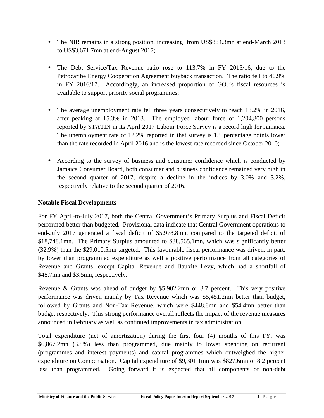- The NIR remains in a strong position, increasing from US\$884.3mn at end-March 2013 to US\$3,671.7mn at end-August 2017;
- The Debt Service/Tax Revenue ratio rose to 113.7% in FY 2015/16, due to the Petrocaribe Energy Cooperation Agreement buyback transaction. The ratio fell to 46.9% in FY 2016/17. Accordingly, an increased proportion of GOJ's fiscal resources is available to support priority social programmes;
- The average unemployment rate fell three years consecutively to reach 13.2% in 2016, after peaking at 15.3% in 2013. The employed labour force of 1,204,800 persons reported by STATIN in its April 2017 Labour Force Survey is a record high for Jamaica. The unemployment rate of 12.2% reported in that survey is 1.5 percentage points lower than the rate recorded in April 2016 and is the lowest rate recorded since October 2010;
- According to the survey of business and consumer confidence which is conducted by Jamaica Consumer Board, both consumer and business confidence remained very high in the second quarter of 2017, despite a decline in the indices by 3.0% and 3.2%, respectively relative to the second quarter of 2016.

# **Notable Fiscal Developments**

For FY April-to-July 2017, both the Central Government's Primary Surplus and Fiscal Deficit performed better than budgeted. Provisional data indicate that Central Government operations to end-July 2017 generated a fiscal deficit of \$5,978.8mn, compared to the targeted deficit of \$18,748.1mn. The Primary Surplus amounted to \$38,565.1mn, which was significantly better (32.9%) than the \$29,010.5mn targeted. This favourable fiscal performance was driven, in part, by lower than programmed expenditure as well a positive performance from all categories of Revenue and Grants, except Capital Revenue and Bauxite Levy, which had a shortfall of \$48.7mn and \$3.5mn, respectively.

Revenue & Grants was ahead of budget by \$5,902.2mn or 3.7 percent. This very positive performance was driven mainly by Tax Revenue which was \$5,451.2mn better than budget, followed by Grants and Non-Tax Revenue, which were \$448.8mn and \$54.4mn better than budget respectively. This strong performance overall reflects the impact of the revenue measures announced in February as well as continued improvements in tax administration.

Total expenditure (net of amortization) during the first four (4) months of this FY, was \$6,867.2mn (3.8%) less than programmed, due mainly to lower spending on recurrent (programmes and interest payments) and capital programmes which outweighed the higher expenditure on Compensation. Capital expenditure of \$9,301.1mn was \$827.6mn or 8.2 percent less than programmed. Going forward it is expected that all components of non-debt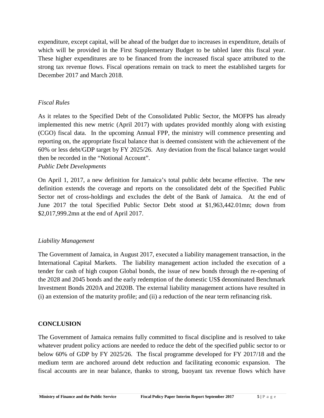expenditure, except capital, will be ahead of the budget due to increases in expenditure, details of which will be provided in the First Supplementary Budget to be tabled later this fiscal year. These higher expenditures are to be financed from the increased fiscal space attributed to the strong tax revenue flows. Fiscal operations remain on track to meet the established targets for December 2017 and March 2018.

# *Fiscal Rules*

As it relates to the Specified Debt of the Consolidated Public Sector, the MOFPS has already implemented this new metric (April 2017) with updates provided monthly along with existing (CGO) fiscal data. In the upcoming Annual FPP, the ministry will commence presenting and reporting on, the appropriate fiscal balance that is deemed consistent with the achievement of the 60% or less debt/GDP target by FY 2025/26. Any deviation from the fiscal balance target would then be recorded in the "Notional Account".

#### *Public Debt Developments*

On April 1, 2017, a new definition for Jamaica's total public debt became effective. The new definition extends the coverage and reports on the consolidated debt of the Specified Public Sector net of cross-holdings and excludes the debt of the Bank of Jamaica. At the end of June 2017 the total Specified Public Sector Debt stood at \$1,963,442.01mn; down from \$2,017,999.2mn at the end of April 2017.

# *Liability Management*

The Government of Jamaica, in August 2017, executed a liability management transaction, in the International Capital Markets. The liability management action included the execution of a tender for cash of high coupon Global bonds, the issue of new bonds through the re-opening of the 2028 and 2045 bonds and the early redemption of the domestic US\$ denominated Benchmark Investment Bonds 2020A and 2020B. The external liability management actions have resulted in (i) an extension of the maturity profile; and (ii) a reduction of the near term refinancing risk.

# **CONCLUSION**

**Ministry of Finance and the Public Service Fiscal Policy Paper Interim Report September 2017 5** | **P** a g e The Government of Jamaica remains fully committed to fiscal discipline and is resolved to take whatever prudent policy actions are needed to reduce the debt of the specified public sector to or below 60% of GDP by FY 2025/26. The fiscal programme developed for FY 2017/18 and the medium term are anchored around debt reduction and facilitating economic expansion. The fiscal accounts are in near balance, thanks to strong, buoyant tax revenue flows which have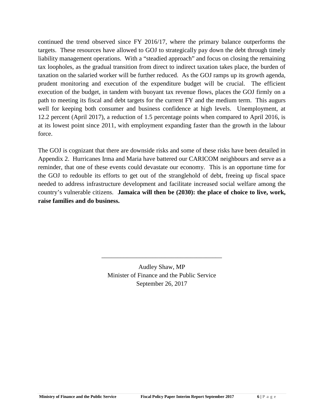continued the trend observed since FY 2016/17, where the primary balance outperforms the targets. These resources have allowed to GOJ to strategically pay down the debt through timely liability management operations. With a "steadied approach" and focus on closing the remaining tax loopholes, as the gradual transition from direct to indirect taxation takes place, the burden of taxation on the salaried worker will be further reduced. As the GOJ ramps up its growth agenda, prudent monitoring and execution of the expenditure budget will be crucial. The efficient execution of the budget, in tandem with buoyant tax revenue flows, places the GOJ firmly on a path to meeting its fiscal and debt targets for the current FY and the medium term. This augurs well for keeping both consumer and business confidence at high levels. Unemployment, at 12.2 percent (April 2017), a reduction of 1.5 percentage points when compared to April 2016, is at its lowest point since 2011, with employment expanding faster than the growth in the labour force.

The GOJ is cognizant that there are downside risks and some of these risks have been detailed in Appendix 2. Hurricanes Irma and Maria have battered our CARICOM neighbours and serve as a reminder, that one of these events could devastate our economy. This is an opportune time for the GOJ to redouble its efforts to get out of the stranglehold of debt, freeing up fiscal space needed to address infrastructure development and facilitate increased social welfare among the country's vulnerable citizens. **Jamaica will then be (2030): the place of choice to live, work, raise families and do business.**

> Audley Shaw, MP Minister of Finance and the Public Service September 26, 2017

\_\_\_\_\_\_\_\_\_\_\_\_\_\_\_\_\_\_\_\_\_\_\_\_\_\_\_\_\_\_\_\_\_\_\_\_\_\_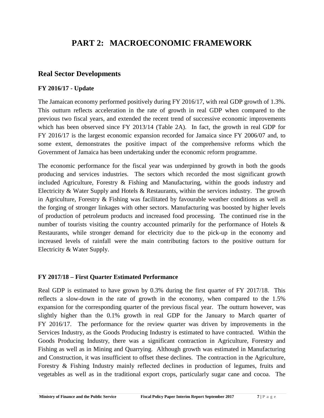# **PART 2: MACROECONOMIC FRAMEWORK**

# **Real Sector Developments**

# **FY 2016/17 - Update**

The Jamaican economy performed positively during FY 2016/17, with real GDP growth of 1.3%. This outturn reflects acceleration in the rate of growth in real GDP when compared to the previous two fiscal years, and extended the recent trend of successive economic improvements which has been observed since FY 2013/14 (Table 2A). In fact, the growth in real GDP for FY 2016/17 is the largest economic expansion recorded for Jamaica since FY 2006/07 and, to some extent, demonstrates the positive impact of the comprehensive reforms which the Government of Jamaica has been undertaking under the economic reform programme.

The economic performance for the fiscal year was underpinned by growth in both the goods producing and services industries. The sectors which recorded the most significant growth included Agriculture, Forestry & Fishing and Manufacturing, within the goods industry and Electricity & Water Supply and Hotels & Restaurants, within the services industry. The growth in Agriculture, Forestry & Fishing was facilitated by favourable weather conditions as well as the forging of stronger linkages with other sectors. Manufacturing was boosted by higher levels of production of petroleum products and increased food processing. The continued rise in the number of tourists visiting the country accounted primarily for the performance of Hotels & Restaurants, while stronger demand for electricity due to the pick-up in the economy and increased levels of rainfall were the main contributing factors to the positive outturn for Electricity & Water Supply.

# **FY 2017/18 – First Quarter Estimated Performance**

vegetables as well as in the traditional export crops, particularly sugar cane and cocoa. The<br>Ministry of Finance and the Public Service Fiscal Policy Paper Interim Report September 2017 7 | P a g e Real GDP is estimated to have grown by 0.3% during the first quarter of FY 2017/18. This reflects a slow-down in the rate of growth in the economy, when compared to the 1.5% expansion for the corresponding quarter of the previous fiscal year. The outturn however, was slightly higher than the 0.1% growth in real GDP for the January to March quarter of FY 2016/17. The performance for the review quarter was driven by improvements in the Services Industry, as the Goods Producing Industry is estimated to have contracted. Within the Goods Producing Industry, there was a significant contraction in Agriculture, Forestry and Fishing as well as in Mining and Quarrying. Although growth was estimated in Manufacturing and Construction, it was insufficient to offset these declines. The contraction in the Agriculture, Forestry & Fishing Industry mainly reflected declines in production of legumes, fruits and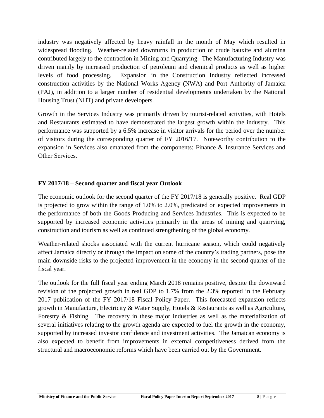industry was negatively affected by heavy rainfall in the month of May which resulted in widespread flooding. Weather-related downturns in production of crude bauxite and alumina contributed largely to the contraction in Mining and Quarrying. The Manufacturing Industry was driven mainly by increased production of petroleum and chemical products as well as higher levels of food processing. Expansion in the Construction Industry reflected increased construction activities by the National Works Agency (NWA) and Port Authority of Jamaica (PAJ), in addition to a larger number of residential developments undertaken by the National Housing Trust (NHT) and private developers.

Growth in the Services Industry was primarily driven by tourist-related activities, with Hotels and Restaurants estimated to have demonstrated the largest growth within the industry. This performance was supported by a 6.5% increase in visitor arrivals for the period over the number of visitors during the corresponding quarter of FY 2016/17. Noteworthy contribution to the expansion in Services also emanated from the components: Finance & Insurance Services and Other Services.

# **FY 2017/18 – Second quarter and fiscal year Outlook**

The economic outlook for the second quarter of the FY 2017/18 is generally positive. Real GDP is projected to grow within the range of 1.0% to 2.0%, predicated on expected improvements in the performance of both the Goods Producing and Services Industries. This is expected to be supported by increased economic activities primarily in the areas of mining and quarrying, construction and tourism as well as continued strengthening of the global economy.

Weather-related shocks associated with the current hurricane season, which could negatively affect Jamaica directly or through the impact on some of the country's trading partners, pose the main downside risks to the projected improvement in the economy in the second quarter of the fiscal year.

The outlook for the full fiscal year ending March 2018 remains positive, despite the downward revision of the projected growth in real GDP to 1.7% from the 2.3% reported in the February 2017 publication of the FY 2017/18 Fiscal Policy Paper. This forecasted expansion reflects growth in Manufacture, Electricity & Water Supply, Hotels & Restaurants as well as Agriculture, Forestry & Fishing. The recovery in these major industries as well as the materialization of several initiatives relating to the growth agenda are expected to fuel the growth in the economy, supported by increased investor confidence and investment activities. The Jamaican economy is also expected to benefit from improvements in external competitiveness derived from the structural and macroeconomic reforms which have been carried out by the Government.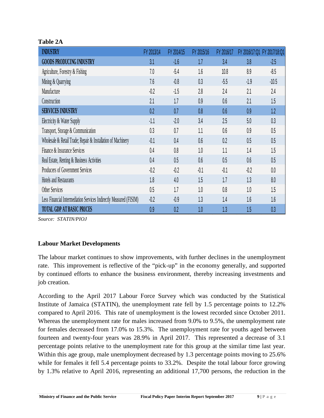# **Table 2A**

| <b>INDUSTRY</b>                                                    | FY 2013/14 | FY 2014/15 | FY 2015/16 | FY 2016/17 | FY 2016/17:01 | FY 2017/18:Q1 |
|--------------------------------------------------------------------|------------|------------|------------|------------|---------------|---------------|
| <b>GOODS PRODUCING INDUSTRY</b>                                    | 3.1        | $-1.6$     | 1.7        | 3.4        | 3.8           | $-2.5$        |
| Agriculture, Forestry & Fishing                                    | 7.0        | $-5.4$     | 1.6        | 10.8       | 8.9           | $-8.5$        |
| Mining & Quarrying                                                 | 7.6        | $-0.8$     | 0.3        | $-5.5$     | $-1.9$        | $-10.5$       |
| Manufacture                                                        | $-0.2$     | $-1.5$     | 2.8        | 2.4        | 2.1           | 2.4           |
| Construction                                                       | 2.1        | 1.7        | 0.9        | 0.6        | 2.1           | 1.5           |
| <b>SERVICES INDUSTRY</b>                                           | 0.2        | 0.7        | 0.8        | 0.6        | 0.9           | 1.2           |
| Electricity & Water Supply                                         | $-1.1$     | $-2.0$     | 3.4        | 2.5        | 5.0           | 0.3           |
| Transport, Storage & Communication                                 | 0.3        | 0.7        | 1.1        | 0.6        | 0.9           | 0.5           |
| Wholesale & Retail Trade; Repair & Installation of Machinery       | $-0.1$     | 0.4        | 0.6        | 0.2        | 0.5           | 0.5           |
| Finance & Insurance Services                                       | 0.4        | 0.8        | 1.0        | 1.1        | 1.4           | 1.5           |
| Real Estate, Renting & Business Activities                         | 0.4        | 0.5        | 0.6        | 0.5        | 0.6           | 0.5           |
| Producers of Government Services                                   | $-0.2$     | $-0.2$     | $-0.1$     | $-0.1$     | $-0.2$        | 0.0           |
| Hotels and Restaurants                                             | 1.8        | 4.0        | 1.5        | 1.7        | 1.3           | 8.0           |
| Other Services                                                     | 0.5        | 1.7        | 1.0        | 0.8        | 1.0           | 1.5           |
| Less Financial Intermediation Services Indirectly Measured (FISIM) | $-0.2$     | $-0.9$     | 1.3        | 1.4        | 1.6           | 1.6           |
| <b>TOTAL GDP AT BASIC PRICES</b>                                   | 0.9        | 0.2        | 1.0        | 1.3        | 1.5           | 0.3           |

*Source: STATIN/PIOJ*

# **Labour Market Developments**

The labour market continues to show improvements, with further declines in the unemployment rate. This improvement is reflective of the "pick-up" in the economy generally, and supported by continued efforts to enhance the business environment, thereby increasing investments and job creation.

by 1.3% relative to April 2016, representing an additional 17,700 persons, the reduction in the<br>Ministry of Finance and the Public Service Fiscal Policy Paper Interim Report September 2017 9 | P a g e According to the April 2017 Labour Force Survey which was conducted by the Statistical Institute of Jamaica (STATIN), the unemployment rate fell by 1.5 percentage points to 12.2% compared to April 2016. This rate of unemployment is the lowest recorded since October 2011. Whereas the unemployment rate for males increased from 9.0% to 9.5%, the unemployment rate for females decreased from 17.0% to 15.3%. The unemployment rate for youths aged between fourteen and twenty-four years was 28.9% in April 2017. This represented a decrease of 3.1 percentage points relative to the unemployment rate for this group at the similar time last year. Within this age group, male unemployment decreased by 1.3 percentage points moving to 25.6% while for females it fell 5.4 percentage points to 33.2%. Despite the total labour force growing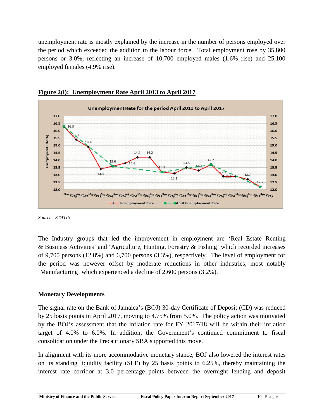unemployment rate is mostly explained by the increase in the number of persons employed over the period which exceeded the addition to the labour force. Total employment rose by 35,800 persons or 3.0%, reflecting an increase of 10,700 employed males (1.6% rise) and 25,100 employed females (4.9% rise).





*Source: STATIN*

The Industry groups that led the improvement in employment are 'Real Estate Renting & Business Activities' and 'Agriculture, Hunting, Forestry & Fishing' which recorded increases of 9,700 persons (12.8%) and 6,700 persons (3.3%), respectively. The level of employment for the period was however offset by moderate reductions in other industries, most notably 'Manufacturing' which experienced a decline of 2,600 persons (3.2%).

# **Monetary Developments**

The signal rate on the Bank of Jamaica's (BOJ) 30-day Certificate of Deposit (CD) was reduced by 25 basis points in April 2017, moving to 4.75% from 5.0%. The policy action was motivated by the BOJ's assessment that the inflation rate for FY 2017/18 will be within their inflation target of 4.0% to 6.0%. In addition, the Government's continued commitment to fiscal consolidation under the Precautionary SBA supported this move.

interest rate corridor at 3.0 percentage points between the overnight lending and deposit<br>Ministry of Finance and the Public Service Fiscal Policy Paper Interim Report September 2017 10 | P a g e In alignment with its more accommodative monetary stance, BOJ also lowered the interest rates on its standing liquidity facility (SLF) by 25 basis points to 6.25%, thereby maintaining the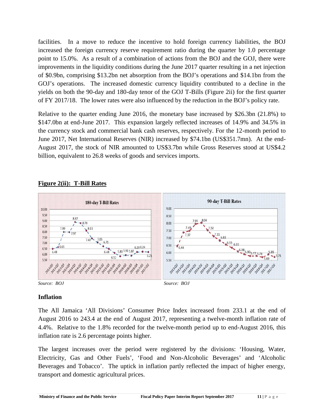facilities. In a move to reduce the incentive to hold foreign currency liabilities, the BOJ increased the foreign currency reserve requirement ratio during the quarter by 1.0 percentage point to 15.0%. As a result of a combination of actions from the BOJ and the GOJ, there were improvements in the liquidity conditions during the June 2017 quarter resulting in a net injection of \$0.9bn, comprising \$13.2bn net absorption from the BOJ's operations and \$14.1bn from the GOJ's operations. The increased domestic currency liquidity contributed to a decline in the yields on both the 90-day and 180-day tenor of the GOJ T-Bills (Figure 2ii) for the first quarter of FY 2017/18. The lower rates were also influenced by the reduction in the BOJ's policy rate.

Relative to the quarter ending June 2016, the monetary base increased by \$26.3bn (21.8%) to \$147.0bn at end-June 2017. This expansion largely reflected increases of 14.9% and 34.5% in the currency stock and commercial bank cash reserves, respectively. For the 12-month period to June 2017, Net International Reserves (NIR) increased by \$74.1bn (US\$351.7mn). At the end- August 2017, the stock of NIR amounted to US\$3.7bn while Gross Reserves stood at US\$4.2 billion, equivalent to 26.8 weeks of goods and services imports.



# **Figure 2(ii): T-Bill Rates**



# **Inflation**

The All Jamaica 'All Divisions' Consumer Price Index increased from 233.1 at the end of August 2016 to 243.4 at the end of August 2017, representing a twelve-month inflation rate of 4.4%. Relative to the 1.8% recorded for the twelve-month period up to end-August 2016, this inflation rate is 2.6 percentage points higher.

**Ministry of Finance and the Public Service Fiscal Policy Paper Interim Report September 2017 <sup>11</sup> <sup>|</sup> P a g e** The largest increases over the period were registered by the divisions: 'Housing, Water, Electricity, Gas and Other Fuels', 'Food and Non-Alcoholic Beverages' and 'Alcoholic Beverages and Tobacco'. The uptick in inflation partly reflected the impact of higher energy, transport and domestic agricultural prices.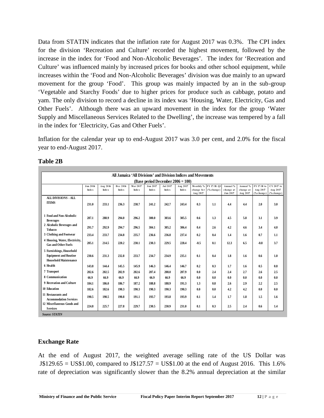Data from STATIN indicates that the inflation rate for August 2017 was 0.3%. The CPI index for the division 'Recreation and Culture' recorded the highest movement, followed by the increase in the index for 'Food and Non-Alcoholic Beverages'. The index for 'Recreation and Culture' was influenced mainly by increased prices for books and other school equipment, while increases within the 'Food and Non-Alcoholic Beverages' division was due mainly to an upward movement for the group 'Food'. This group was mainly impacted by an in the sub-group 'Vegetable and Starchy Foods' due to higher prices for produce such as cabbage, potato and yam. The only division to record a decline in its index was 'Housing, Water, Electricity, Gas and Other Fuels'. Although there was an upward movement in the index for the group 'Water Supply and Miscellaneous Services Related to the Dwelling', the increase was tempered by a fall in the index for 'Electricity, Gas and Other Fuels'.

Inflation for the calendar year up to end-August 2017 was 3.0 per cent, and 2.0% for the fiscal year to end-August 2017.

|                                                                                          |                   |                          |                          |                          |                   |                   |                   | All Jamaica 'All Divisions' and Division Indices and Movements |                       |                                   |                                   |                                       |                                                   |
|------------------------------------------------------------------------------------------|-------------------|--------------------------|--------------------------|--------------------------|-------------------|-------------------|-------------------|----------------------------------------------------------------|-----------------------|-----------------------------------|-----------------------------------|---------------------------------------|---------------------------------------------------|
| (Base period December $2006 = 100$ )                                                     |                   |                          |                          |                          |                   |                   |                   |                                                                |                       |                                   |                                   |                                       |                                                   |
|                                                                                          | Jun 2016<br>Index | Aug 2016<br><b>Index</b> | Dec 2016<br><b>Index</b> | Mar 2017<br><b>Index</b> | Jun 2017<br>Index | Jul 2017<br>Index | Aug 2017<br>Index | change for (% change)<br>Aug 2017                              | Monthly % FY 17/18:01 | Annual %<br>change at<br>Jun 2017 | Annual %<br>change at<br>Aug 2017 | FY 17/18 to<br>Aug 2017<br>(% change) | CY 2017 to<br>Aug 2017<br>(% <sub>6</sub> change) |
| <b>ALL DIVISIONS - ALL</b><br><b>TTEMS</b>                                               | 231.0             | 233.1                    | 236.3                    | 238.7                    | 241.2             | 242.7             | 243.4             | 0.3                                                            | 1.1                   | 4.4                               | 4.4                               | 2.0                                   | 3.0                                               |
| 1 Food and Non-Alcoholic<br><b>Beverages</b>                                             | 287.1             | 288.9                    | 294.0                    | 296.2                    | 300.0             | 303.6             | 305.5             | 0.6                                                            | 1.3                   | 4.5                               | 5.8                               | 3.1                                   | 3.9                                               |
| 2 Alcoholic Beverages and<br><b>Tobacco</b>                                              | 291.7             | 292.9                    | 294.7                    | 296.5                    | 304.1             | 305.2             | 306.4             | 0.4                                                            | 2.6                   | 4.2                               | 4.6                               | 3.4                                   | 4.0                                               |
| 3 Clothing and Footwear                                                                  | 233.4             | 233.7                    | 234.8                    | 235.7                    | 236.6             | 236.8             | 237.4             | 0.2                                                            | 0.4                   | 1.4                               | 1.6                               | 0.7                                   | 1.1                                               |
| 4 Housing, Water, Electricity,<br><b>Gas and Other Fuels</b>                             | 205.1             | 214.5                    | 220.2                    | 230.1                    | 230.3             | 229.5             | 228.4             | $-0.5$                                                         | 0.1                   | 12.3                              | 6.5                               | $-0.8$                                | 3.7                                               |
| 5 Furnishings, Household<br><b>Equipment and Routine</b><br><b>Household Maintenance</b> | 230.6             | 231.3                    | 232.8                    | 233.7                    | 234.7             | 234.9             | 235.1             | 0.1                                                            | 0.4                   | 1.8                               | 1.6                               | $0.6^{\circ}$                         | 1.0                                               |
| 6 Health                                                                                 | 143.8             | 144.4                    | 145.5                    | 145.9                    | 146.3             | 146.4             | 146.7             | 0.2                                                            | 0.3                   | 1.7                               | 1.6                               | 0.5                                   | 0.8                                               |
| 7 Transport                                                                              | 202.6             | 202.5                    | 202.9                    | 202.6                    | 207.4             | 208.0             | 207.9             | 0.0                                                            | 2.4                   | 2.4                               | 2.7                               | 2.6                                   | 2.5                                               |
| 8 Communication                                                                          | 66.9              | 66.9                     | 66.9                     | 66.9                     | 66.9              | 66.9              | 66.9              | 0.0                                                            | 0.0                   | 0.0                               | 0.0                               | 0.0                                   | 0.0                                               |
| 9 Recreation and Culture                                                                 | 184.1             | 186.0                    | 186.7                    | 187.2                    | 188.8             | 188.9             | 191.3             | 1.3                                                            | 0.8                   | 2.6                               | 2.9                               | 2.2                                   | 2.5                                               |
| <b>10 Education</b>                                                                      | 182.6             | 182.6                    | 190.3                    | 190.3                    | 190.3             | 190.3             | 190.3             | 0.0                                                            | 0.0                   | 4.2                               | 4.2                               | 0.0                                   | 0.0                                               |
| 11 Restaurants and<br><b>Accommodation Services</b>                                      | 190.5             | 190.5                    | 190.8                    | 191.1                    | 193.7             | 193.8             | 193.9             | 0.1                                                            | 1.4                   | 1.7                               | 1.8                               | 1.5                                   | 1.6                                               |
| 12 Miscellaneous Goods and<br><b>Services</b>                                            | 224.8             | 225.7                    | 227.8                    | 229.7                    | 230.5             | 230.9             | 231.0             | 0.1                                                            | 0.3                   | 2.5                               | 2.4                               | $0.6^{\circ}$                         | 1.4                                               |
| <b>Source: STATIN</b>                                                                    |                   |                          |                          |                          |                   |                   |                   |                                                                |                       |                                   |                                   |                                       |                                                   |

# **Exchange Rate**

rate of depreciation was significantly slower than the 8.2% annual depreciation at the similar<br>Ministry of Finance and the Public Service Fiscal Policy Paper Interim Report September 2017 12 | P a g e At the end of August 2017, the weighted average selling rate of the US Dollar was  $J$129.65 = US$1.00, compared to  $J$127.57 = US$1.00$  at the end of August 2016. This 1.6%$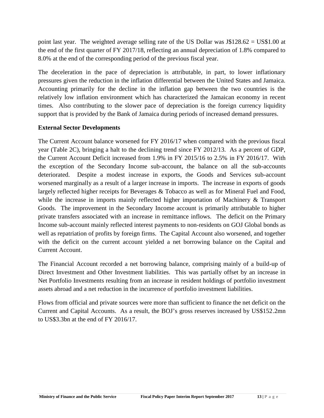point last year. The weighted average selling rate of the US Dollar was J\$128.62 = US\$1.00 at the end of the first quarter of FY 2017/18, reflecting an annual depreciation of 1.8% compared to 8.0% at the end of the corresponding period of the previous fiscal year.

The deceleration in the pace of depreciation is attributable, in part, to lower inflationary pressures given the reduction in the inflation differential between the United States and Jamaica. Accounting primarily for the decline in the inflation gap between the two countries is the relatively low inflation environment which has characterized the Jamaican economy in recent times. Also contributing to the slower pace of depreciation is the foreign currency liquidity support that is provided by the Bank of Jamaica during periods of increased demand pressures.

# **External Sector Developments**

The Current Account balance worsened for FY 2016/17 when compared with the previous fiscal year (Table 2C), bringing a halt to the declining trend since FY 2012/13. As a percent of GDP, the Current Account Deficit increased from 1.9% in FY 2015/16 to 2.5% in FY 2016/17. With the exception of the Secondary Income sub-account, the balance on all the sub-accounts deteriorated. Despite a modest increase in exports, the Goods and Services sub-account worsened marginally as a result of a larger increase in imports. The increase in exports of goods largely reflected higher receipts for Beverages & Tobacco as well as for Mineral Fuel and Food, while the increase in imports mainly reflected higher importation of Machinery & Transport Goods. The improvement in the Secondary Income account is primarily attributable to higher private transfers associated with an increase in remittance inflows. The deficit on the Primary Income sub-account mainly reflected interest payments to non-residents on GOJ Global bonds as well as repatriation of profits by foreign firms. The Capital Account also worsened, and together with the deficit on the current account yielded a net borrowing balance on the Capital and Current Account.

The Financial Account recorded a net borrowing balance, comprising mainly of a build-up of Direct Investment and Other Investment liabilities. This was partially offset by an increase in Net Portfolio Investments resulting from an increase in resident holdings of portfolio investment assets abroad and a net reduction in the incurrence of portfolio investment liabilities.

Flows from official and private sources were more than sufficient to finance the net deficit on the Current and Capital Accounts. As a result, the BOJ's gross reserves increased by US\$152.2mn to US\$3.3bn at the end of FY 2016/17.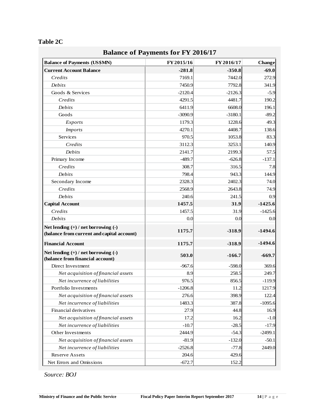|                                                                             | <b>Balance of Payments for FY 2016/17</b> |            |               |
|-----------------------------------------------------------------------------|-------------------------------------------|------------|---------------|
| <b>Balance of Payments (US\$MN)</b>                                         | FY 2015/16                                | FY 2016/17 | <b>Change</b> |
| <b>Current Account Balance</b>                                              | $-281.8$                                  | $-350.8$   | $-69.0$       |
| Credits                                                                     | 7169.1                                    | 7442.0     | 272.9         |
| Debits                                                                      | 7450.9                                    | 7792.8     | 341.9         |
| Goods & Services                                                            | $-2120.4$                                 | $-2126.3$  | $-5.9$        |
| Credits                                                                     | 4291.5                                    | 4481.7     | 190.2         |
| Debits                                                                      | 6411.9                                    | 6608.0     | 196.1         |
| Goods                                                                       | $-3090.9$                                 | $-3180.1$  | $-89.2$       |
| <i>Exports</i>                                                              | 1179.3                                    | 1228.6     | 49.3          |
| <i>Imports</i>                                                              | 4270.1                                    | 4408.7     | 138.6         |
| Services                                                                    | 970.5                                     | 1053.8     | 83.3          |
| Credits                                                                     | 3112.3                                    | 3253.1     | 140.9         |
| Debits                                                                      | 2141.7                                    | 2199.3     | 57.5          |
| Primary Income                                                              | $-489.7$                                  | $-626.8$   | $-137.1$      |
| Credits                                                                     | 308.7                                     | 316.5      | 7.8           |
| Debits                                                                      | 798.4                                     | 943.3      | 144.9         |
| Secondary Income                                                            | 2328.3                                    | 2402.3     | 74.0          |
| Credits                                                                     | 2568.9                                    | 2643.8     | 74.9          |
| Debits                                                                      | 240.6                                     | 241.5      | 0.9           |
| <b>Capital Account</b>                                                      | 1457.5                                    | 31.9       | $-1425.6$     |
| Credits                                                                     | 1457.5                                    | 31.9       | $-1425.6$     |
| Debits                                                                      | 0.0                                       | 0.0        | 0.0           |
| Net lending $(+)$ / net borrowing $(-)$                                     |                                           |            |               |
| (balance from current and capital account)                                  | 1175.7                                    | $-318.9$   | $-1494.6$     |
| <b>Financial Account</b>                                                    | 1175.7                                    | $-318.9$   | $-1494.6$     |
| Net lending $(+)$ / net borrowing $(-)$<br>(balance from financial account) | 503.0                                     | $-166.7$   | $-669.7$      |
| Direct Investment                                                           | $-967.6$                                  | $-598.0$   | 369.6         |
| Net acquisition of financial assets                                         | 8.9                                       | 258.5      | 249.7         |
| Net incurrence of liabilities                                               | 976.5                                     | 856.5      | $-119.9$      |
| Portfolio Investments                                                       | $-1206.8$                                 | 11.2       | 1217.9        |
| Net acquisition of financial assets                                         | 276.6                                     | 398.9      | 122.4         |
| Net incurrence of liabilities                                               | 1483.3                                    | 387.8      | $-1095.6$     |
| Financial derivatives                                                       | 27.9                                      | 44.8       | 16.9          |
| Net acquisition of financial assets                                         | 17.2                                      | 16.2       | $-1.0$        |
| Net incurrence of liabilities                                               | $-10.7$                                   | $-28.5$    | $-17.9$       |
| Other Investments                                                           | 2444.9                                    | $-54.3$    | $-2499.1$     |
| Net acquisition of financial assets                                         | $-81.9$                                   | $-132.0$   | $-50.1$       |
| Net incurrence of liabilities                                               | $-2526.8$                                 | $-77.8$    | 2449.0        |
| Reserve Assets                                                              | 204.6                                     | 429.6      |               |
| Net Errors and Omissions                                                    | $-672.7$                                  | 152.2      |               |

*Source: BOJ*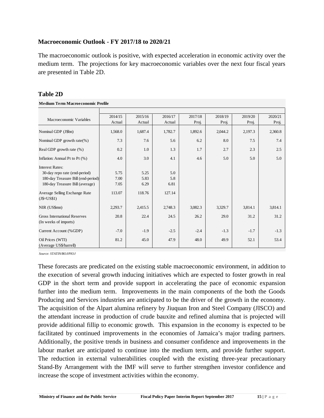#### **Macroeconomic Outlook - FY 2017/18 to 2020/21**

The macroeconomic outlook is positive, with expected acceleration in economic activity over the medium term. The projections for key macroeconomic variables over the next four fiscal years are presented in Table 2D.

#### **Table 2D**

**Medium Term Macroeconomic Profile**

| Macroeconomic Variables                                      | 2014/15 | 2015/16 | 2016/17 | 2017/18 | 2018/19 | 2019/20 | 2020/21 |
|--------------------------------------------------------------|---------|---------|---------|---------|---------|---------|---------|
|                                                              | Actual  | Actual  | Actual  | Proj.   | Proj.   | Proj.   | Proj.   |
| Nominal GDP (J\$bn)                                          | 1,568.0 | 1,687.4 | 1,782.7 | 1,892.6 | 2,044.2 | 2,197.3 | 2,360.8 |
| Nominal GDP growth rate $(\%)$                               | 7.3     | 7.6     | 5.6     | 6.2     | 8.0     | 7.5     | 7.4     |
| Real GDP growth rate $(\%)$                                  | 0.2     | 1.0     | 1.3     | 1.7     | 2.7     | 2.3     | 2.5     |
| Inflation: Annual Pt to Pt (%)                               | 4.0     | 3.0     | 4.1     | 4.6     | 5.0     | 5.0     | 5.0     |
| <b>Interest Rates:</b>                                       |         |         |         |         |         |         |         |
| 30-day repo rate (end-period)                                | 5.75    | 5.25    | 5.0     |         |         |         |         |
| 180-day Treasure Bill (end-period)                           | 7.00    | 5.83    | 5.8     |         |         |         |         |
| 180-day Treasure Bill (average)                              | 7.05    | 6.29    | 6.81    |         |         |         |         |
| Average Selling Exchange Rate<br>$(J$=US$1)$                 | 113.07  | 118.76  | 127.14  |         |         |         |         |
| NIR (US\$mn)                                                 | 2,293.7 | 2,415.5 | 2,748.3 | 3,082.3 | 3,329.7 | 3,814.1 | 3,814.1 |
| <b>Gross International Reserves</b><br>(In weeks of imports) | 20.8    | 22.4    | 24.5    | 26.2    | 29.0    | 31.2    | 31.2    |
| Current Account (%GDP)                                       | $-7.0$  | $-1.9$  | $-2.5$  | $-2.4$  | $-1.3$  | $-1.7$  | $-1.3$  |
| Oil Prices (WTI)<br>(Average US\$/barrell)                   | 81.2    | 45.0    | 47.9    | 48.0    | 49.9    | 52.1    | 53.4    |

*Source: STATIN/BOJ/PIOJ*

**Ministry of Finance and the Public Service Fiscal Policy Paper Interim Report September 2017 15 | P a g e** These forecasts are predicated on the existing stable macroeconomic environment, in addition to the execution of several growth inducing initiatives which are expected to foster growth in real GDP in the short term and provide support in accelerating the pace of economic expansion further into the medium term. Improvements in the main components of the both the Goods Producing and Services industries are anticipated to be the driver of the growth in the economy. The acquisition of the Alpart alumina refinery by Jiuquan Iron and Steel Company (JISCO) and the attendant increase in production of crude bauxite and refined alumina that is projected will provide additional fillip to economic growth. This expansion in the economy is expected to be facilitated by continued improvements in the economies of Jamaica's major trading partners. Additionally, the positive trends in business and consumer confidence and improvements in the labour market are anticipated to continue into the medium term, and provide further support. The reduction in external vulnerabilities coupled with the existing three-year precautionary Stand-By Arrangement with the IMF will serve to further strengthen investor confidence and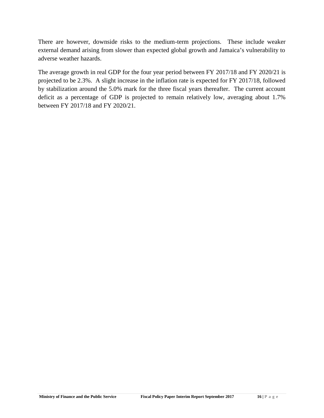There are however, downside risks to the medium-term projections. These include weaker external demand arising from slower than expected global growth and Jamaica's vulnerability to adverse weather hazards.

The average growth in real GDP for the four year period between FY 2017/18 and FY 2020/21 is projected to be 2.3%. A slight increase in the inflation rate is expected for FY 2017/18, followed by stabilization around the 5.0% mark for the three fiscal years thereafter. The current account deficit as a percentage of GDP is projected to remain relatively low, averaging about 1.7% between FY 2017/18 and FY 2020/21.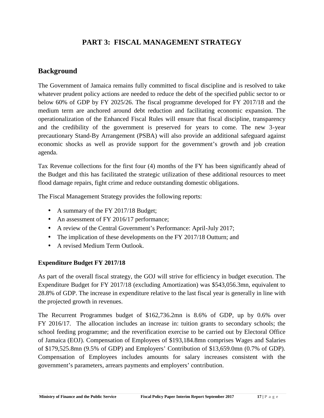# **PART 3: FISCAL MANAGEMENT STRATEGY**

# **Background**

The Government of Jamaica remains fully committed to fiscal discipline and is resolved to take whatever prudent policy actions are needed to reduce the debt of the specified public sector to or below 60% of GDP by FY 2025/26. The fiscal programme developed for FY 2017/18 and the medium term are anchored around debt reduction and facilitating economic expansion. The operationalization of the Enhanced Fiscal Rules will ensure that fiscal discipline, transparency and the credibility of the government is preserved for years to come. The new 3-year precautionary Stand-By Arrangement (PSBA) will also provide an additional safeguard against economic shocks as well as provide support for the government's growth and job creation agenda.

Tax Revenue collections for the first four (4) months of the FY has been significantly ahead of the Budget and this has facilitated the strategic utilization of these additional resources to meet flood damage repairs, fight crime and reduce outstanding domestic obligations.

The Fiscal Management Strategy provides the following reports:

- A summary of the FY 2017/18 Budget;
- An assessment of FY 2016/17 performance;
- A review of the Central Government's Performance: April-July 2017;
- The implication of these developments on the FY 2017/18 Outturn; and
- A revised Medium Term Outlook.

# **Expenditure Budget FY 2017/18**

As part of the overall fiscal strategy, the GOJ will strive for efficiency in budget execution. The Expenditure Budget for FY 2017/18 (excluding Amortization) was \$543,056.3mn, equivalent to 28.8% of GDP. The increase in expenditure relative to the last fiscal year is generally in line with the projected growth in revenues.

The Recurrent Programmes budget of \$162,736.2mn is 8.6% of GDP, up by 0.6% over FY 2016/17. The allocation includes an increase in: tuition grants to secondary schools; the school feeding programme; and the reverification exercise to be carried out by Electoral Office of Jamaica (EOJ). Compensation of Employees of \$193,184.8mn comprises Wages and Salaries of \$179,525.8mn (9.5% of GDP) and Employers' Contribution of \$13,659.0mn (0.7% of GDP). Compensation of Employees includes amounts for salary increases consistent with the government's parameters, arrears payments and employers' contribution.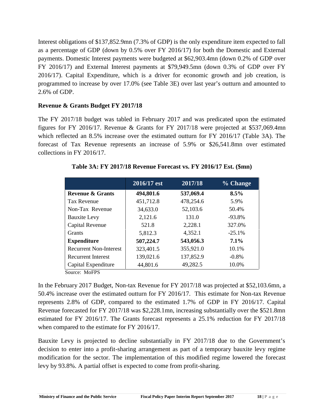Interest obligations of \$137,852.9mn (7.3% of GDP) is the only expenditure item expected to fall as a percentage of GDP (down by 0.5% over FY 2016/17) for both the Domestic and External payments. Domestic Interest payments were budgeted at \$62,903.4mn (down 0.2% of GDP over FY 2016/17) and External Interest payments at \$79,949.5mn (down 0.3% of GDP over FY 2016/17). Capital Expenditure, which is a driver for economic growth and job creation, is programmed to increase by over 17.0% (see Table 3E) over last year's outturn and amounted to 2.6% of GDP.

# **Revenue & Grants Budget FY 2017/18**

The FY 2017/18 budget was tabled in February 2017 and was predicated upon the estimated figures for FY 2016/17. Revenue & Grants for FY 2017/18 were projected at \$537,069.4mn which reflected an 8.5% increase over the estimated outturn for FY 2016/17 (Table 3A). The forecast of Tax Revenue represents an increase of 5.9% or \$26,541.8mn over estimated collections in FY 2016/17.

|                               | 2016/17 est | 2017/18   | % Change |
|-------------------------------|-------------|-----------|----------|
| <b>Revenue &amp; Grants</b>   | 494,801.6   | 537,069.4 | 8.5%     |
| <b>Tax Revenue</b>            | 451,712.8   | 478,254.6 | 5.9%     |
| Non-Tax Revenue               | 34,633.0    | 52,103.6  | 50.4%    |
| <b>Bauxite Levy</b>           | 2,121.6     | 131.0     | $-93.8%$ |
| Capital Revenue               | 521.8       | 2,228.1   | 327.0%   |
| <b>Grants</b>                 | 5,812.3     | 4,352.1   | $-25.1%$ |
| <b>Expenditure</b>            | 507,224.7   | 543,056.3 | $7.1\%$  |
| <b>Recurrent Non-Interest</b> | 323,401.5   | 355,921.0 | 10.1%    |
| <b>Recurrent Interest</b>     | 139,021.6   | 137,852.9 | $-0.8\%$ |
| Capital Expenditure           | 44,801.6    | 49,282.5  | 10.0%    |

**Table 3A: FY 2017/18 Revenue Forecast vs. FY 2016/17 Est. (\$mn)**

Source: MoFPS

In the February 2017 Budget, Non-tax Revenue for FY 2017/18 was projected at \$52,103.6mn, a 50.4% increase over the estimated outturn for FY 2016/17. This estimate for Non-tax Revenue represents 2.8% of GDP, compared to the estimated 1.7% of GDP in FY 2016/17. Capital Revenue forecasted for FY 2017/18 was \$2,228.1mn, increasing substantially over the \$521.8mn estimated for FY 2016/17. The Grants forecast represents a 25.1% reduction for FY 2017/18 when compared to the estimate for FY 2016/17.

Bauxite Levy is projected to decline substantially in FY 2017/18 due to the Government's decision to enter into a profit-sharing arrangement as part of a temporary bauxite levy regime modification for the sector. The implementation of this modified regime lowered the forecast levy by 93.8%. A partial offset is expected to come from profit-sharing.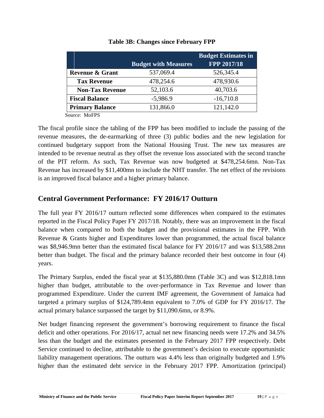|                            | <b>Budget with Measures</b> | <b>Budget Estimates in</b><br>FPP 2017/18 |
|----------------------------|-----------------------------|-------------------------------------------|
| <b>Revenue &amp; Grant</b> | 537,069.4                   | 526,345.4                                 |
| <b>Tax Revenue</b>         | 478,254.6                   | 478,930.6                                 |
| <b>Non-Tax Revenue</b>     | 52,103.6                    | 40,703.6                                  |
| <b>Fiscal Balance</b>      | $-5,986.9$                  | $-16,710.8$                               |
| <b>Primary Balance</b>     | 131,866.0                   | 121,142.0                                 |

#### **Table 3B: Changes since February FPP**

Source: MoFPS

The fiscal profile since the tabling of the FPP has been modified to include the passing of the revenue measures, the de-earmarking of three (3) public bodies and the new legislation for continued budgetary support from the National Housing Trust. The new tax measures are intended to be revenue neutral as they offset the revenue loss associated with the second tranche of the PIT reform. As such, Tax Revenue was now budgeted at \$478,254.6mn. Non-Tax Revenue has increased by \$11,400mn to include the NHT transfer. The net effect of the revisions is an improved fiscal balance and a higher primary balance.

# **Central Government Performance: FY 2016/17 Outturn**

The full year FY 2016/17 outturn reflected some differences when compared to the estimates reported in the Fiscal Policy Paper FY 2017/18. Notably, there was an improvement in the fiscal balance when compared to both the budget and the provisional estimates in the FPP. With Revenue & Grants higher and Expenditures lower than programmed, the actual fiscal balance was \$8,946.9mn better than the estimated fiscal balance for FY 2016/17 and was \$13,588.2mn better than budget. The fiscal and the primary balance recorded their best outcome in four (4) years.

The Primary Surplus, ended the fiscal year at \$135,880.0mn (Table 3C) and was \$12,818.1mn higher than budget, attributable to the over-performance in Tax Revenue and lower than programmed Expenditure. Under the current IMF agreement, the Government of Jamaica had targeted a primary surplus of \$124,789.4mn equivalent to 7.0% of GDP for FY 2016/17. The actual primary balance surpassed the target by \$11,090.6mn, or 8.9%.

Net budget financing represent the government's borrowing requirement to finance the fiscal deficit and other operations. For 2016/17, actual net new financing needs were 17.2% and 34.5% less than the budget and the estimates presented in the February 2017 FPP respectively. Debt Service continued to decline, attributable to the government's decision to execute opportunistic liability management operations. The outturn was 4.4% less than originally budgeted and 1.9% higher than the estimated debt service in the February 2017 FPP. Amortization (principal)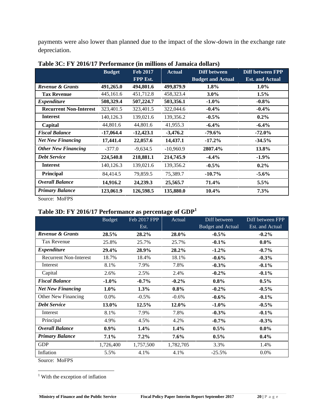payments were also lower than planned due to the impact of the slow-down in the exchange rate depreciation.

|                               | <b>Budget</b> | <b>Feb 2017</b> | <b>Actual</b> | Diff between             | Diff between FPP       |
|-------------------------------|---------------|-----------------|---------------|--------------------------|------------------------|
|                               |               | FPP Est.        |               | <b>Budget and Actual</b> | <b>Est. and Actual</b> |
| Revenue & Grants              | 491,265.0     | 494,801.6       | 499,879.9     | $1.8\%$                  | $1.0\%$                |
| <b>Tax Revenue</b>            | 445,161.6     | 451,712.8       | 458,323.4     | $3.0\%$                  | $1.5\%$                |
| <b>Expenditure</b>            | 508,329.4     | 507,224.7       | 503,356.1     | $-1.0\%$                 | $-0.8\%$               |
| <b>Recurrent Non-Interest</b> | 323,401.5     | 323,401.5       | 322,044.6     | $-0.4\%$                 | $-0.4\%$               |
| <b>Interest</b>               | 140,126.3     | 139,021.6       | 139,356.2     | $-0.5\%$                 | $0.2\%$                |
| Capital                       | 44,801.6      | 44,801.6        | 41,955.3      | $-6.4%$                  | $-6.4%$                |
| <b>Fiscal Balance</b>         | $-17,064.4$   | $-12,423.1$     | $-3,476.2$    | $-79.6\%$                | $-72.0\%$              |
| <b>Net New Financing</b>      | 17,441.4      | 22,057.6        | 14,437.1      | $-17.2\%$                | $-34.5\%$              |
| <b>Other New Financing</b>    | $-377.0$      | $-9,634.5$      | $-10,960.9$   | 2807.4%                  | 13.8%                  |
| <b>Debt Service</b>           | 224,540.8     | 218,881.1       | 214,745.9     | $-4.4%$                  | $-1.9\%$               |
| <b>Interest</b>               | 140,126.3     | 139,021.6       | 139,356.2     | $-0.5\%$                 | $0.2\%$                |
| Principal                     | 84,414.5      | 79,859.5        | 75,389.7      | $-10.7\%$                | $-5.6\%$               |
| Overall Balance               | 14,916.2      | 24,239.3        | 25,565.7      | 71.4%                    | 5.5%                   |
| <b>Primary Balance</b>        | 123,061.9     | 126,598.5       | 135,880.0     | 10.4%                    | 7.3%                   |

| Table 3C: FY 2016/17 Performance (in millions of Jamaica dollars) |  |
|-------------------------------------------------------------------|--|
|-------------------------------------------------------------------|--|

Source: MoFPS

# **Table 3D: FY 2016/17 Performance as percentage of GDP<sup>1</sup>**

|                               | <b>Budget</b> | Feb 2017 FPP | Actual    | Diff between             | Diff between FPP |
|-------------------------------|---------------|--------------|-----------|--------------------------|------------------|
|                               |               | Est.         |           | <b>Budget and Actual</b> | Est. and Actual  |
| <b>Revenue &amp; Grants</b>   | 28.5%         | 28.2%        | 28.0%     | $-0.5\%$                 | $-0.2\%$         |
| Tax Revenue                   | 25.8%         | 25.7%        | 25.7%     | $-0.1%$                  | $0.0\%$          |
| <b>Expenditure</b>            | 29.4%         | 28.9%        | 28.2%     | $-1.2\%$                 | $-0.7\%$         |
| <b>Recurrent Non-Interest</b> | 18.7%         | 18.4%        | 18.1%     | $-0.6\%$                 | $-0.3%$          |
| Interest                      | 8.1%          | 7.9%         | 7.8%      | $-0.3%$                  | $-0.1\%$         |
| Capital                       | 2.6%          | 2.5%         | 2.4%      | $-0.2\%$                 | $-0.1\%$         |
| <b>Fiscal Balance</b>         | $-1.0\%$      | $-0.7\%$     | $-0.2\%$  | $0.8\%$                  | $0.5\%$          |
| <b>Net New Financing</b>      | $1.0\%$       | 1.3%         | $0.8\%$   | $-0.2\%$                 | $-0.5\%$         |
| Other New Financing           | $0.0\%$       | $-0.5\%$     | $-0.6\%$  | $-0.6\%$                 | $-0.1\%$         |
| <b>Debt Service</b>           | 13.0%         | 12.5%        | 12.0%     | $-1.0\%$                 | $-0.5\%$         |
| Interest                      | 8.1%          | 7.9%         | 7.8%      | $-0.3\%$                 | $-0.1\%$         |
| Principal                     | 4.9%          | 4.5%         | 4.2%      | $-0.7\%$                 | $-0.3\%$         |
| <b>Overall Balance</b>        | $0.9\%$       | $1.4\%$      | $1.4\%$   | $0.5\%$                  | $0.0\%$          |
| <b>Primary Balance</b>        | 7.1%          | $7.2\%$      | $7.6\%$   | $0.5\%$                  | $0.4\%$          |
| <b>GDP</b>                    | 1,726,400     | 1,757,500    | 1,782,705 | 3.3%                     | 1.4%             |
| Inflation                     | 5.5%          | 4.1%         | 4.1%      | $-25.5%$                 | $0.0\%$          |
|                               |               |              |           |                          |                  |

Source: MoFPS

<sup>1</sup> With the exception of inflation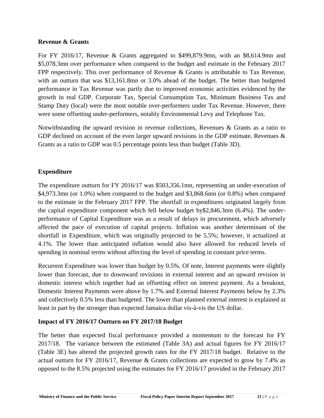# **Revenue & Grants**

For FY 2016/17, Revenue & Grants aggregated to \$499,879.9mn, with an \$8,614.9mn and \$5,078.3mn over performance when compared to the budget and estimate in the February 2017 FPP respectively. This over performance of Revenue & Grants is attributable to Tax Revenue, with an outturn that was \$13,161.8mn or 3.0% ahead of the budget. The better than budgeted performance in Tax Revenue was partly due to improved economic activities evidenced by the growth in real GDP. Corporate Tax, Special Consumption Tax, Minimum Business Tax and Stamp Duty (local) were the most notable over-performers under Tax Revenue. However, there were some offsetting under-performers, notably Environmental Levy and Telephone Tax.

Notwithstanding the upward revision in revenue collections, Revenues & Grants as a ratio to GDP declined on account of the even larger upward revisions in the GDP estimate. Revenues  $\&$ Grants as a ratio to GDP was 0.5 percentage points less than budget (Table 3D).

# **Expenditure**

The expenditure outturn for FY 2016/17 was \$503,356.1mn, representing an under-execution of \$4,973.3mn (or 1.0%) when compared to the budget and \$3,868.6mn (or 0.8%) when compared to the estimate in the February 2017 FPP. The shortfall in expenditures originated largely from the capital expenditure component which fell below budget by\$2,846.3mn (6.4%). The under performance of Capital Expenditure was as a result of delays in procurement, which adversely affected the pace of execution of capital projects. Inflation was another determinant of the shortfall in Expenditure, which was originally projected to be 5.5%; however, it actualized at 4.1%. The lower than anticipated inflation would also have allowed for reduced levels of spending in nominal terms without affecting the level of spending in constant price terms.

Recurrent Expenditure was lower than budget by 0.5%. Of note, Interest payments were slightly lower than forecast, due to downward revisions in external interest and an upward revision in domestic interest which together had an offsetting effect on interest payment. As a breakout, Domestic Interest Payments were above by 1.7% and External Interest Payments below by 2.3% and collectively 0.5% less than budgeted. The lower than planned external interest is explained at least in part by the stronger than expected Jamaica dollar vis-à-vis the US dollar.

# **Impact of FY 2016/17 Outturn on FY 2017/18 Budget**

The better than expected fiscal performance provided a momentum to the forecast for FY 2017/18. The variance between the estimated (Table 3A) and actual figures for FY 2016/17 (Table 3E) has altered the projected growth rates for the FY 2017/18 budget. Relative to the actual outturn for FY 2016/17, Revenue & Grants collections are expected to grow by 7.4% as opposed to the 8.5% projected using the estimates for FY 2016/17 provided in the February 2017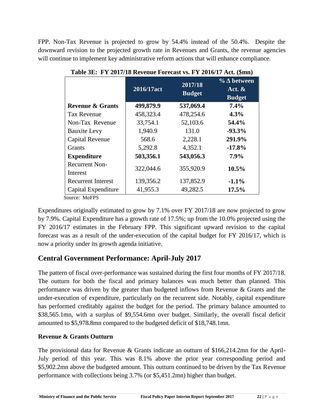FPP. Non-Tax Revenue is projected to grow by 54.4% instead of the 50.4%. Despite the downward revision to the projected growth rate in Revenues and Grants, the revenue agencies will continue to implement key administrative reform actions that will enhance compliance.

|                             | 2016/17act | 2017/18<br><b>Budget</b> | $\frac{6}{10}$<br>between<br>Act. $\&$<br><b>Budget</b> |
|-----------------------------|------------|--------------------------|---------------------------------------------------------|
| <b>Revenue &amp; Grants</b> | 499,879.9  | 537,069.4                | 7.4%                                                    |
| <b>Tax Revenue</b>          | 458,323.4  | 478,254.6                | 4.3%                                                    |
| Non-Tax Revenue             | 33,754.1   | 52,103.6                 | 54.4%                                                   |
| <b>Bauxite Levy</b>         | 1,940.9    | 131.0                    | $-93.3\%$                                               |
| Capital Revenue             | 568.6      | 2,228.1                  | 291.9%                                                  |
| <b>Grants</b>               | 5,292.8    | 4,352.1                  | $-17.8\%$                                               |
| <b>Expenditure</b>          | 503,356.1  | 543,056.3                | $7.9\%$                                                 |
| <b>Recurrent Non-</b>       |            |                          | $10.5\%$                                                |
| Interest                    | 322,044.6  | 355,920.9                |                                                         |
| <b>Recurrent Interest</b>   | 139,356.2  | 137,852.9                | $-1.1%$                                                 |
| Capital Expenditure         | 41,955.3   | 49,282.5                 | 17.5%                                                   |

**Table 3E: FY 2017/18 Revenue Forecast vs. FY 2016/17 Act. (\$mn)**

Source: MoFPS

Expenditures originally estimated to grow by 7.1% over FY 2017/18 are now projected to grow by 7.9%. Capital Expenditure has a growth rate of 17.5%; up from the 10.0% projected using the FY 2016/17 estimates in the February FPP. This significant upward revision to the capital forecast was as a result of the under-execution of the capital budget for FY 2016/17, which is now a priority under its growth agenda initiative.

# **Central Government Performance: April-July 2017**

The pattern of fiscal over-performance was sustained during the first four months of FY 2017/18. The outturn for both the fiscal and primary balances was much better than planned. This performance was driven by the greater than budgeted inflows from Revenue & Grants and the under-execution of expenditure, particularly on the recurrent side. Notably, capital expenditure has performed creditably against the budget for the period. The primary balance amounted to \$38,565.1mn, with a surplus of \$9,554.6mn over budget. Similarly, the overall fiscal deficit amounted to \$5,978.8mn compared to the budgeted deficit of \$18,748.1mn.

# **Revenue & Grants Outturn**

**Ministry of Finance and the Public Service Fiscal Policy Paper Interim Report September 2017 22 | P a g e<br>
<b>Example 2017** 22 | P a g e The provisional data for Revenue & Grants indicate an outturn of \$166,214.2mn for the April- July period of this year. This was 8.1% above the prior year corresponding period and \$5,902.2mn above the budgeted amount. This outturn continued to be driven by the Tax Revenue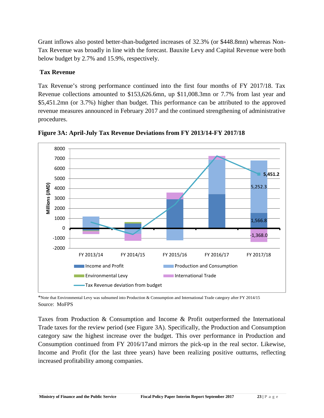Grant inflows also posted better-than-budgeted increases of 32.3% (or \$448.8mn) whereas Non- Tax Revenue was broadly in line with the forecast. Bauxite Levy and Capital Revenue were both below budget by 2.7% and 15.9%, respectively.

# **Tax Revenue**

Tax Revenue's strong performance continued into the first four months of FY 2017/18. Tax Revenue collections amounted to \$153,626.6mn, up \$11,008.3mn or 7.7% from last year and \$5,451.2mn (or 3.7%) higher than budget. This performance can be attributed to the approved revenue measures announced in February 2017 and the continued strengthening of administrative procedures.



**Figure 3A: April-July Tax Revenue Deviations from FY 2013/14-FY 2017/18**

\*Note that Environmental Levy was subsumed into Production & Consumption and International Trade category after FY 2014/15 Source: MoFPS

Taxes from Production & Consumption and Income & Profit outperformed the International Trade taxes for the review period (see Figure 3A). Specifically, the Production and Consumption category saw the highest increase over the budget. This over performance in Production and Consumption continued from FY 2016/17and mirrors the pick-up in the real sector. Likewise, Income and Profit (for the last three years) have been realizing positive outturns, reflecting increased profitability among companies.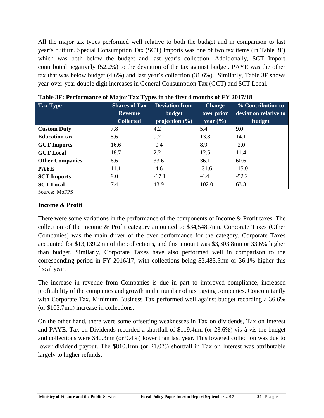All the major tax types performed well relative to both the budget and in comparison to last year's outturn. Special Consumption Tax (SCT) Imports was one of two tax items (in Table 3F) which was both below the budget and last year's collection. Additionally, SCT Import contributed negatively (52.2%) to the deviation of the tax against budget. PAYE was the other tax that was below budget (4.6%) and last year's collection (31.6%). Similarly, Table 3F shows year-over-year double digit increases in General Consumption Tax (GCT) and SCT Local.

| <b>Tax Type</b>        | <b>Shares of Tax</b> | <b>Deviation from</b> | <b>Change</b> | % Contribution to     |
|------------------------|----------------------|-----------------------|---------------|-----------------------|
|                        | <b>Revenue</b>       | budget                | over prior    | deviation relative to |
|                        | <b>Collected</b>     | projection (%)        | year $(\% )$  | <b>budget</b>         |
| <b>Custom Duty</b>     | 7.8                  | 4.2                   | 5.4           | 9.0                   |
| <b>Education tax</b>   | 5.6                  | 9.7                   | 13.8          | 14.1                  |
| <b>GCT</b> Imports     | 16.6                 | $-0.4$                | 8.9           | $-2.0$                |
| <b>GCT</b> Local       | 18.7                 | 2.2                   | 12.5          | 11.4                  |
| <b>Other Companies</b> | 8.6                  | 33.6                  | 36.1          | 60.6                  |
| <b>PAYE</b>            | 11.1                 | $-4.6$                | $-31.6$       | $-15.0$               |
| <b>SCT</b> Imports     | 9.0                  | $-17.1$               | $-4.4$        | $-52.2$               |
| <b>SCT Local</b>       | 7.4                  | 43.9                  | 102.0         | 63.3                  |

**Table 3F: Performance of Major Tax Types in the first 4 months of FY 2017/18**

Source: MoFPS

#### **Income & Profit**

There were some variations in the performance of the components of Income & Profit taxes. The collection of the Income & Profit category amounted to \$34,548.7mn. Corporate Taxes (Other Companies) was the main driver of the over performance for the category. Corporate Taxes accounted for \$13,139.2mn of the collections, and this amount was \$3,303.8mn or 33.6% higher than budget. Similarly, Corporate Taxes have also performed well in comparison to the corresponding period in FY 2016/17, with collections being \$3,483.5mn or 36.1% higher this fiscal year.

The increase in revenue from Companies is due in part to improved compliance, increased profitability of the companies and growth in the number of tax paying companies. Concomitantly with Corporate Tax, Minimum Business Tax performed well against budget recording a 36.6% (or \$103.7mn) increase in collections.

On the other hand, there were some offsetting weaknesses in Tax on dividends, Tax on Interest and PAYE. Tax on Dividends recorded a shortfall of \$119.4mn (or 23.6%) vis-à-vis the budget and collections were \$40.3mn (or 9.4%) lower than last year. This lowered collection was due to lower dividend payout. The \$810.1mn (or 21.0%) shortfall in Tax on Interest was attributable largely to higher refunds.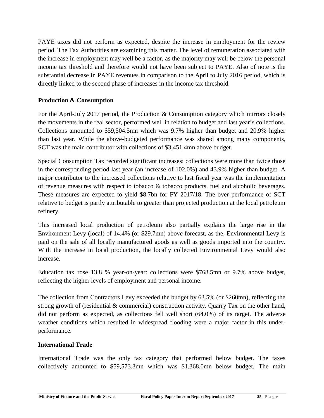PAYE taxes did not perform as expected, despite the increase in employment for the review period. The Tax Authorities are examining this matter. The level of remuneration associated with the increase in employment may well be a factor, as the majority may well be below the personal income tax threshold and therefore would not have been subject to PAYE. Also of note is the substantial decrease in PAYE revenues in comparison to the April to July 2016 period, which is directly linked to the second phase of increases in the income tax threshold.

# **Production & Consumption**

For the April-July 2017 period, the Production & Consumption category which mirrors closely the movements in the real sector, performed well in relation to budget and last year's collections. Collections amounted to \$59,504.5mn which was 9.7% higher than budget and 20.9% higher than last year. While the above-budgeted performance was shared among many components, SCT was the main contributor with collections of \$3,451.4mn above budget.

Special Consumption Tax recorded significant increases: collections were more than twice those in the corresponding period last year (an increase of 102.0%) and 43.9% higher than budget. A major contributor to the increased collections relative to last fiscal year was the implementation of revenue measures with respect to tobacco  $\&$  tobacco products, fuel and alcoholic beverages. These measures are expected to yield \$8.7bn for FY 2017/18. The over performance of SCT relative to budget is partly attributable to greater than projected production at the local petroleum refinery.

This increased local production of petroleum also partially explains the large rise in the Environment Levy (local) of 14.4% (or \$29.7mn) above forecast, as the, Environmental Levy is paid on the sale of all locally manufactured goods as well as goods imported into the country. With the increase in local production, the locally collected Environmental Levy would also increase.

Education tax rose 13.8 % year-on-year: collections were \$768.5mn or 9.7% above budget, reflecting the higher levels of employment and personal income.

The collection from Contractors Levy exceeded the budget by 63.5% (or \$260mn), reflecting the strong growth of (residential & commercial) construction activity. Quarry Tax on the other hand, did not perform as expected, as collections fell well short (64.0%) of its target. The adverse weather conditions which resulted in widespread flooding were a major factor in this under performance.

# **International Trade**

International Trade was the only tax category that performed below budget. The taxes collectively amounted to \$59,573.3mn which was \$1,368.0mn below budget. The main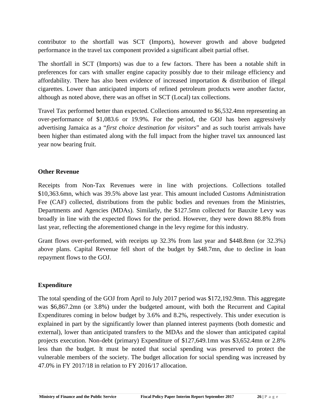contributor to the shortfall was SCT (Imports), however growth and above budgeted performance in the travel tax component provided a significant albeit partial offset.

The shortfall in SCT (Imports) was due to a few factors. There has been a notable shift in preferences for cars with smaller engine capacity possibly due to their mileage efficiency and affordability. There has also been evidence of increased importation & distribution of illegal cigarettes. Lower than anticipated imports of refined petroleum products were another factor, although as noted above, there was an offset in SCT (Local) tax collections.

Travel Tax performed better than expected. Collections amounted to \$6,532.4mn representing an over-performance of \$1,083.6 or 19.9%. For the period, the GOJ has been aggressively advertising Jamaica as a "*first choice destination for visitors*" and as such tourist arrivals have been higher than estimated along with the full impact from the higher travel tax announced last year now bearing fruit.

# **Other Revenue**

Receipts from Non-Tax Revenues were in line with projections. Collections totalled \$10,363.6mn, which was 39.5% above last year. This amount included Customs Administration Fee (CAF) collected, distributions from the public bodies and revenues from the Ministries, Departments and Agencies (MDAs). Similarly, the \$127.5mn collected for Bauxite Levy was broadly in line with the expected flows for the period. However, they were down 88.8% from last year, reflecting the aforementioned change in the levy regime for this industry.

Grant flows over-performed, with receipts up 32.3% from last year and \$448.8mn (or 32.3%) above plans. Capital Revenue fell short of the budget by \$48.7mn, due to decline in loan repayment flows to the GOJ.

# **Expenditure**

The total spending of the GOJ from April to July 2017 period was \$172,192.9mn. This aggregate was \$6,867.2mn (or 3.8%) under the budgeted amount, with both the Recurrent and Capital Expenditures coming in below budget by 3.6% and 8.2%, respectively. This under execution is explained in part by the significantly lower than planned interest payments (both domestic and external), lower than anticipated transfers to the MDAs and the slower than anticipated capital projects execution. Non-debt (primary) Expenditure of \$127,649.1mn was \$3,652.4mn or 2.8% less than the budget. It must be noted that social spending was preserved to protect the vulnerable members of the society. The budget allocation for social spending was increased by 47.0% in FY 2017/18 in relation to FY 2016/17 allocation.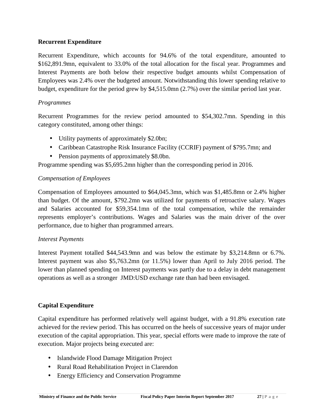# **Recurrent Expenditure**

Recurrent Expenditure, which accounts for 94.6% of the total expenditure, amounted to \$162,891.9mn, equivalent to 33.0% of the total allocation for the fiscal year. Programmes and Interest Payments are both below their respective budget amounts whilst Compensation of Employees was 2.4% over the budgeted amount. Notwithstanding this lower spending relative to budget, expenditure for the period grew by \$4,515.0mn (2.7%) over the similar period last year.

# *Programmes*

Recurrent Programmes for the review period amounted to \$54,302.7mn. Spending in this category constituted, among other things:

- Utility payments of approximately \$2.0bn;
- Caribbean Catastrophe Risk Insurance Facility (CCRIF) payment of \$795.7mn; and
- Pension payments of approximately \$8.0bn.

Programme spending was \$5,695.2mn higher than the corresponding period in 2016.

# *Compensation of Employees*

Compensation of Employees amounted to \$64,045.3mn, which was \$1,485.8mn or 2.4% higher than budget. Of the amount, \$792.2mn was utilized for payments of retroactive salary. Wages and Salaries accounted for \$59,354.1mn of the total compensation, while the remainder represents employer's contributions. Wages and Salaries was the main driver of the over performance, due to higher than programmed arrears.

# *Interest Payments*

Interest Payment totalled \$44,543.9mn and was below the estimate by \$3,214.8mn or 6.7%. Interest payment was also \$5,763.2mn (or 11.5%) lower than April to July 2016 period. The lower than planned spending on Interest payments was partly due to a delay in debt management operations as well as a stronger JMD:USD exchange rate than had been envisaged.

# **Capital Expenditure**

Capital expenditure has performed relatively well against budget, with a 91.8% execution rate achieved for the review period. This has occurred on the heels of successive years of major under execution of the capital appropriation. This year, special efforts were made to improve the rate of execution. Major projects being executed are:

- Islandwide Flood Damage Mitigation Project
- Rural Road Rehabilitation Project in Clarendon
- **Ministry of Finance and the Public Service Fiscal Policy Paper Interim Report September 2017 <sup>27</sup> <sup>|</sup> P a g e** • Energy Efficiency and Conservation Programme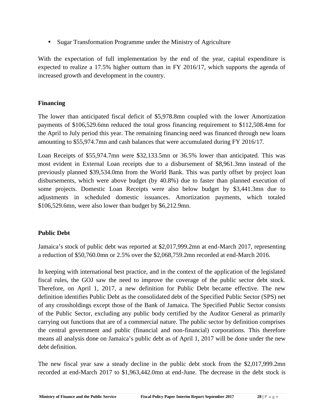• Sugar Transformation Programme under the Ministry of Agriculture

With the expectation of full implementation by the end of the year, capital expenditure is expected to realize a 17.5% higher outturn than in FY 2016/17, which supports the agenda of increased growth and development in the country.

# **Financing**

The lower than anticipated fiscal deficit of \$5,978.8mn coupled with the lower Amortization payments of \$106,529.6mn reduced the total gross financing requirement to \$112,508.4mn for the April to July period this year. The remaining financing need was financed through new loans amounting to \$55,974.7mn and cash balances that were accumulated during FY 2016/17.

Loan Receipts of \$55,974.7mn were \$32,133.5mn or 36.5% lower than anticipated. This was most evident in External Loan receipts due to a disbursement of \$8,961.3mn instead of the previously planned \$39,534.0mn from the World Bank. This was partly offset by project loan disbursements, which were above budget (by 40.8%) due to faster than planned execution of some projects. Domestic Loan Receipts were also below budget by \$3,441.3mn due to adjustments in scheduled domestic issuances. Amortization payments, which totaled \$106,529.6mn, were also lower than budget by \$6,212.9mn.

# **Public Debt**

Jamaica's stock of public debt was reported at \$2,017,999.2mn at end-March 2017, representing a reduction of \$50,760.0mn or 2.5% over the \$2,068,759.2mn recorded at end-March 2016.

In keeping with international best practice, and in the context of the application of the legislated fiscal rules, the GOJ saw the need to improve the coverage of the public sector debt stock. Therefore, on April 1, 2017, a new definition for Public Debt became effective. The new definition identifies Public Debt as the consolidated debt of the Specified Public Sector (SPS) net of any crossholdings except those of the Bank of Jamaica. The Specified Public Sector consists of the Public Sector, excluding any public body certified by the Auditor General as primarily carrying out functions that are of a commercial nature. The public sector by definition comprises the central government and public (financial and non-financial) corporations. This therefore means all analysis done on Jamaica's public debt as of April 1, 2017 will be done under the new debt definition.

recorded at end-March 2017 to \$1,963,442.0mn at end-June. The decrease in the debt stock is<br>Ministry of Finance and the Public Service Fiscal Policy Paper Interim Report September 2017 28 | P a g e The new fiscal year saw a steady decline in the public debt stock from the \$2,017,999.2mn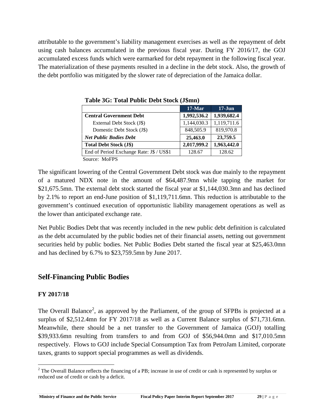attributable to the government's liability management exercises as well as the repayment of debt using cash balances accumulated in the previous fiscal year. During FY 2016/17, the GOJ accumulated excess funds which were earmarked for debt repayment in the following fiscal year. The materialization of these payments resulted in a decline in the debt stock. Also, the growth of the debt portfolio was mitigated by the slower rate of depreciation of the Jamaica dollar.

|                                          | $17-Mar$    | $17 - Jun$  |
|------------------------------------------|-------------|-------------|
| <b>Central Government Debt</b>           | 1,992,536.2 | 1,939,682.4 |
| External Debt Stock (J\$)                | 1,144,030.3 | 1,119,711.6 |
| Domestic Debt Stock (J\$)                | 848,505.9   | 819,970.8   |
| <b>Net Public Bodies Debt</b>            | 25,463.0    | 23,759.5    |
| <b>Total Debt Stock (J\$)</b>            | 2,017,999.2 | 1,963,442.0 |
| End of Period Exchange Rate: J\$ / US\$1 | 128.67      | 128.62      |
| $\alpha$ $\alpha$ $\beta$                |             |             |

**Table 3G: Total Public Debt Stock (J\$mn)**

Source: MoFPS

The significant lowering of the Central Government Debt stock was due mainly to the repayment of a matured NDX note in the amount of \$64,487.9mn while tapping the market for \$21,675.5mn. The external debt stock started the fiscal year at \$1,144,030.3mn and has declined by 2.1% to report an end-June position of \$1,119,711.6mn. This reduction is attributable to the government's continued execution of opportunistic liability management operations as well as the lower than anticipated exchange rate.

Net Public Bodies Debt that was recently included in the new public debt definition is calculated as the debt accumulated by the public bodies net of their financial assets, netting out government securities held by public bodies. Net Public Bodies Debt started the fiscal year at \$25,463.0mn and has declined by 6.7% to \$23,759.5mn by June 2017.

# **Self-Financing Public Bodies**

# **FY 2017/18**

The Overall Balance<sup>2</sup>, as approved by the Parliament, of the group of SFPBs is projected at a surplus of \$2,512.4mn for FY 2017/18 as well as a Current Balance surplus of \$71,731.6mn. Meanwhile, there should be a net transfer to the Government of Jamaica (GOJ) totalling \$39,933.6mn resulting from transfers to and from GOJ of \$56,944.0mn and \$17,010.5mn respectively. Flows to GOJ include Special Consumption Tax from PetroJam Limited, corporate taxes, grants to support special programmes as well as dividends.

**Ministry of Finance and the Public Service <b>Fiscal Policy Paper Interim Report September 2017 <b>29** | **P** a g e  $2$  The Overall Balance reflects the financing of a PB; increase in use of credit or cash is represented by surplus or reduced use of credit or cash by a deficit.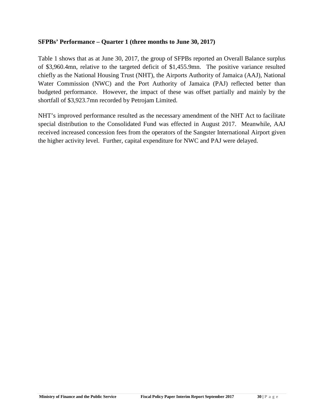#### **SFPBs' Performance – Quarter 1 (three months to June 30, 2017)**

Table 1 shows that as at June 30, 2017, the group of SFPBs reported an Overall Balance surplus of \$3,960.4mn, relative to the targeted deficit of \$1,455.9mn. The positive variance resulted chiefly as the National Housing Trust (NHT), the Airports Authority of Jamaica (AAJ), National Water Commission (NWC) and the Port Authority of Jamaica (PAJ) reflected better than budgeted performance. However, the impact of these was offset partially and mainly by the shortfall of \$3,923.7mn recorded by Petrojam Limited.

NHT's improved performance resulted as the necessary amendment of the NHT Act to facilitate special distribution to the Consolidated Fund was effected in August 2017. Meanwhile, AAJ received increased concession fees from the operators of the Sangster International Airport given the higher activity level. Further, capital expenditure for NWC and PAJ were delayed.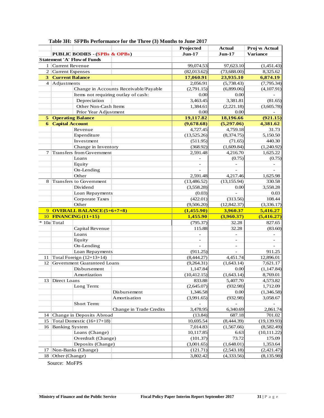|                |                                          |                                       | <b>Projected</b> | <b>Actual</b> | Proj vs Actual  |
|----------------|------------------------------------------|---------------------------------------|------------------|---------------|-----------------|
|                | <b>PUBLIC BODIES - (SPBs &amp; OPBs)</b> |                                       | $Jun-17$         | $Jun-17$      | <b>Variance</b> |
|                | <b>Statement 'A' Flow of Funds</b>       |                                       |                  |               |                 |
|                | 1 Current Revenue                        |                                       | 99,074.53        | 97,623.10     | (1,451.43)      |
|                | 2 Current Expenses                       |                                       | (82,013.62)      | (73,688.00)   | 8,325.62        |
|                | <b>3 Current Balance</b>                 |                                       | 17,060.91        | 23,935.10     | 6,874.19        |
| $\overline{4}$ | Adjustments                              |                                       | 2,056.91         | (5,738.43)    | (7,795.34)      |
|                |                                          | Change in Accounts Receivable/Payable | (2,791.15)       | (6,899.06)    | (4,107.91)      |
|                |                                          | Items not requiring outlay of cash:   | 0.00             | 0.00          |                 |
|                | Depreciation                             |                                       | 3,463.45         | 3,381.81      | (81.65)         |
|                | Other Non-Cash Items                     |                                       | 1,384.61         | (2,221.18)    | (3,605.78)      |
|                | Prior Year Adjustment                    |                                       | 0.00             | 0.00          |                 |
| 5.             | <b>Operating Balance</b>                 |                                       | 19,117.82        | 18,196.66     | (921.15)        |
| 6              | <b>Capital Account</b>                   |                                       | (9,678.68)       | (5,297.06)    | 4,381.62        |
|                | Revenue                                  |                                       | 4,727.45         | 4,759.18      | 31.73           |
|                | Expenditure                              |                                       | (13,525.26)      | (8,374.75)    | 5,150.50        |
|                | Investment                               |                                       | (511.95)         | (71.65)       | 440.30          |
|                | Change in Inventory                      |                                       | (368.92)         | (1,609.84)    | (1,240.92)      |
|                | Transfers from Government                |                                       | 2,591.48         | 4,216.70      | 1,625.22        |
|                | Loans                                    |                                       |                  | (0.75)        | (0.75)          |
|                | Equity                                   |                                       |                  |               |                 |
|                | On-Lending                               |                                       |                  |               |                 |
|                | Other                                    |                                       | 2,591.48         | 4,217.46      | 1,625.98        |
| 8              | Transfers to Government                  |                                       | (13, 486.52)     | (13, 155.94)  | 330.58          |
|                | Dividend                                 |                                       | (3,558.28)       | 0.00          | 3,558.28        |
|                | Loan Repayments                          |                                       | (0.03)           |               | 0.03            |
|                | Corporate Taxes                          |                                       | (422.01)         | (313.56)      | 108.44          |
|                | Other                                    |                                       | (9,506.20)       | (12, 842.37)  | (3,336.17)      |
|                | 9 OVERALL BALANCE (5+6+7+8)              |                                       | (1,455.90)       | 3,960.37      | 5,416.27        |
|                | 10 FINANCING (11+15)                     |                                       | 1,455.90         | (3,960.37)    | (5,416.27)      |
|                | 10a Total                                |                                       | (795.37)         | 32.28         | 827.65          |
|                | Capital Revenue                          |                                       | 115.88           | 32.28         | (83.60)         |
|                | Loans                                    |                                       |                  |               |                 |
|                | Equity                                   |                                       |                  |               |                 |
|                | On-Lending                               |                                       |                  |               |                 |
|                | Loan Repayments                          |                                       | (911.25)         |               | 911.25          |
|                | 11 Total Foreign $(12+13+14)$            |                                       | (8,444.27)       | 4,451.74      | 12,896.01       |
|                | 12 Government Guaranteed Loans           |                                       | (9,264.31)       | (1,643.14)    | 7,621.17        |
|                | Disbursement                             |                                       | 1,147.84         | 0.00          | (1, 147.84)     |
|                | Amortization                             |                                       | (10, 412.15)     | (1, 643.14)   | 8,769.01        |
|                | 13 Direct Loans                          |                                       | 833.88           | 5,407.70      | 4,573.82        |
|                | Long Term:                               |                                       | (2,645.07)       | (932.98)      | 1,712.09        |
|                |                                          | Disbursement                          | 1,346.58         | 0.00          | (1,346.58)      |
|                |                                          | Amortisation                          | (3,991.65)       | (932.98)      | 3,058.67        |
|                | Short Term:                              |                                       |                  |               |                 |
|                |                                          | Change in Trade Credits               | 3,478.95         | 6,340.69      | 2,861.74        |
|                | 14 Change in Deposits Abroad             |                                       | (13.84)          | 687.18        | 701.02          |
| 15             | Total Domestic (16+17+18)                |                                       | 10,695.54        | (8,444.39)    | (19, 139.93)    |
|                | 16 Banking System                        |                                       | 7,014.83         | (1,567.66)    | (8,582.49)      |
|                | Loans (Change)                           |                                       | 10,117.85        | 6.63          | (10, 111.22)    |
|                | Overdraft (Change)                       |                                       | (101.37)         | 73.72         | 175.09          |
|                | Deposits (Change)                        |                                       | (3,001.65)       | (1,648.01)    | 1,353.64        |
|                | 17 Non-Banks (Change)                    |                                       | (121.71)         | (2,543.18)    | (2,421.47)      |
|                | 18 Other (Change)                        |                                       | 3,802.42         | (4,333.56)    | (8, 135.98)     |

**Table 3H: SFPBs Performance for the Three (3) Months to June 2017**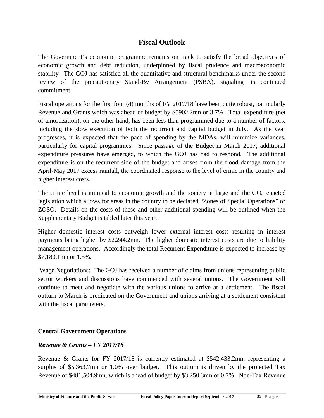# **Fiscal Outlook**

The Government's economic programme remains on track to satisfy the broad objectives of economic growth and debt reduction, underpinned by fiscal prudence and macroeconomic stability. The GOJ has satisfied all the quantitative and structural benchmarks under the second review of the precautionary Stand-By Arrangement (PSBA), signaling its continued commitment.

Fiscal operations for the first four (4) months of FY 2017/18 have been quite robust, particularly Revenue and Grants which was ahead of budget by \$5902.2mn or 3.7%. Total expenditure (net of amortization), on the other hand, has been less than programmed due to a number of factors, including the slow execution of both the recurrent and capital budget in July. As the year progresses, it is expected that the pace of spending by the MDAs, will minimize variances, particularly for capital programmes. Since passage of the Budget in March 2017, additional expenditure pressures have emerged, to which the GOJ has had to respond. The additional expenditure is on the recurrent side of the budget and arises from the flood damage from the April-May 2017 excess rainfall, the coordinated response to the level of crime in the country and higher interest costs.

The crime level is inimical to economic growth and the society at large and the GOJ enacted legislation which allows for areas in the country to be declared "Zones of Special Operations" or ZOSO. Details on the costs of these and other additional spending will be outlined when the Supplementary Budget is tabled later this year.

Higher domestic interest costs outweigh lower external interest costs resulting in interest payments being higher by \$2,244.2mn. The higher domestic interest costs are due to liability management operations. Accordingly the total Recurrent Expenditure is expected to increase by \$7,180.1mn or 1.5%.

Wage Negotiations: The GOJ has received a number of claims from unions representing public sector workers and discussions have commenced with several unions. The Government will continue to meet and negotiate with the various unions to arrive at a settlement. The fiscal outturn to March is predicated on the Government and unions arriving at a settlement consistent with the fiscal parameters.

# **Central Government Operations**

#### *Revenue & Grants – FY 2017/18*

Revenue of \$481,504.9mn, which is ahead of budget by \$3,250.3mn or 0.7%. Non-Tax Revenue<br>Ministry of Finance and the Public Service Fiscal Policy Paper Interim Report September 2017 32 | P a g e Revenue & Grants for FY 2017/18 is currently estimated at \$542,433.2mn, representing a surplus of \$5,363.7mn or 1.0% over budget. This outturn is driven by the projected Tax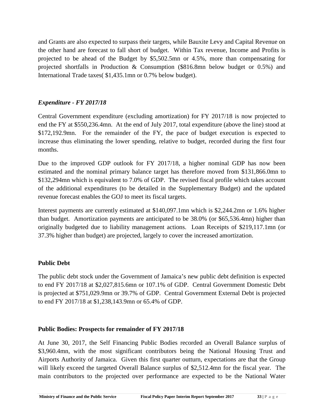and Grants are also expected to surpass their targets, while Bauxite Levy and Capital Revenue on the other hand are forecast to fall short of budget. Within Tax revenue, Income and Profits is projected to be ahead of the Budget by \$5,502.5mn or 4.5%, more than compensating for projected shortfalls in Production & Consumption (\$816.8mn below budget or 0.5%) and International Trade taxes( \$1,435.1mn or 0.7% below budget).

# *Expenditure - FY 2017/18*

Central Government expenditure (excluding amortization) for FY 2017/18 is now projected to end the FY at \$550,236.4mn. At the end of July 2017, total expenditure (above the line) stood at \$172,192.9mn. For the remainder of the FY, the pace of budget execution is expected to increase thus eliminating the lower spending, relative to budget, recorded during the first four months.

Due to the improved GDP outlook for FY 2017/18, a higher nominal GDP has now been estimated and the nominal primary balance target has therefore moved from \$131,866.0mn to \$132,294mn which is equivalent to 7.0% of GDP. The revised fiscal profile which takes account of the additional expenditures (to be detailed in the Supplementary Budget) and the updated revenue forecast enables the GOJ to meet its fiscal targets.

Interest payments are currently estimated at \$140,097.1mn which is \$2,244.2mn or 1.6% higher than budget. Amortization payments are anticipated to be 38.0% (or \$65,536.4mn) higher than originally budgeted due to liability management actions. Loan Receipts of \$219,117.1mn (or 37.3% higher than budget) are projected, largely to cover the increased amortization.

# **Public Debt**

The public debt stock under the Government of Jamaica's new public debt definition is expected to end FY 2017/18 at \$2,027,815.6mn or 107.1% of GDP. Central Government Domestic Debt is projected at \$751,029.9mn or 39.7% of GDP. Central Government External Debt is projected to end FY 2017/18 at \$1,238,143.9mn or 65.4% of GDP.

# **Public Bodies: Prospects for remainder of FY 2017/18**

main contributors to the projected over performance are expected to be the National Water<br>Ministry of Finance and the Public Service Fiscal Policy Paper Interim Report September 2017 33 | P a g e At June 30, 2017, the Self Financing Public Bodies recorded an Overall Balance surplus of \$3,960.4mn, with the most significant contributors being the National Housing Trust and Airports Authority of Jamaica. Given this first quarter outturn, expectations are that the Group will likely exceed the targeted Overall Balance surplus of \$2,512.4mn for the fiscal year. The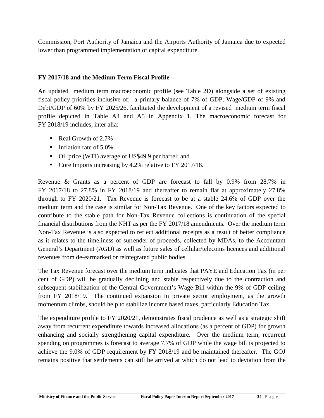Commission, Port Authority of Jamaica and the Airports Authority of Jamaica due to expected lower than programmed implementation of capital expenditure.

# **FY 2017/18 and the Medium Term Fiscal Profile**

An updated medium term macroeconomic profile (see Table 2D) alongside a set of existing fiscal policy priorities inclusive of; a primary balance of 7% of GDP, Wage/GDP of 9% and Debt/GDP of 60% by FY 2025/26, facilitated the development of a revised medium term fiscal profile depicted in Table A4 and A5 in Appendix 1. The macroeconomic forecast for FY 2018/19 includes, inter alia:

- Real Growth of 2.7%
- $\bullet$  Inflation rate of 5.0%
- Oil price (WTI) average of US\$49.9 per barrel; and
- Core Imports increasing by 4.2% relative to FY 2017/18.

Revenue & Grants as a percent of GDP are forecast to fall by 0.9% from 28.7% in FY 2017/18 to 27.8% in FY 2018/19 and thereafter to remain flat at approximately 27.8% through to FY 2020/21. Tax Revenue is forecast to be at a stable 24.6% of GDP over the medium term and the case is similar for Non-Tax Revenue. One of the key factors expected to contribute to the stable path for Non-Tax Revenue collections is continuation of the special financial distributions from the NHT as per the FY 2017/18 amendments. Over the medium term Non-Tax Revenue is also expected to reflect additional receipts as a result of better compliance as it relates to the timeliness of surrender of proceeds, collected by MDAs, to the Accountant General's Department (AGD) as well as future sales of cellular/telecoms licences and additional revenues from de-earmarked or reintegrated public bodies.

The Tax Revenue forecast over the medium term indicates that PAYE and Education Tax (in per cent of GDP) will be gradually declining and stable respectively due to the contraction and subsequent stabilization of the Central Government's Wage Bill within the 9% of GDP ceiling from FY 2018/19. The continued expansion in private sector employment, as the growth momentum climbs, should help to stabilize income based taxes, particularly Education Tax.

The expenditure profile to FY 2020/21, demonstrates fiscal prudence as well as a strategic shift away from recurrent expenditure towards increased allocations (as a percent of GDP) for growth enhancing and socially strengthening capital expenditure. Over the medium term, recurrent spending on programmes is forecast to average 7.7% of GDP while the wage bill is projected to achieve the 9.0% of GDP requirement by FY 2018/19 and be maintained thereafter. The GOJ remains positive that settlements can still be arrived at which do not lead to deviation from the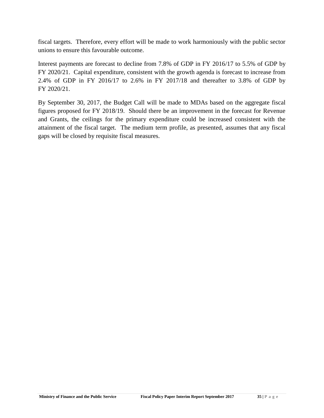fiscal targets. Therefore, every effort will be made to work harmoniously with the public sector unions to ensure this favourable outcome.

Interest payments are forecast to decline from 7.8% of GDP in FY 2016/17 to 5.5% of GDP by FY 2020/21. Capital expenditure, consistent with the growth agenda is forecast to increase from 2.4% of GDP in FY 2016/17 to 2.6% in FY 2017/18 and thereafter to 3.8% of GDP by FY 2020/21.

By September 30, 2017, the Budget Call will be made to MDAs based on the aggregate fiscal figures proposed for FY 2018/19. Should there be an improvement in the forecast for Revenue and Grants, the ceilings for the primary expenditure could be increased consistent with the attainment of the fiscal target. The medium term profile, as presented, assumes that any fiscal gaps will be closed by requisite fiscal measures.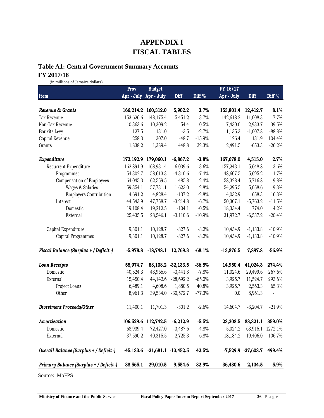# **APPENDIX I FISCAL TABLES**

# **Table A1: Central Government Summary Accounts**

# **FY 2017/18**

(in millions of Jamaica dollars)

|                                         | Prov        | <b>Budget</b>       |                         |          | FY 16/17    |                        |          |
|-----------------------------------------|-------------|---------------------|-------------------------|----------|-------------|------------------------|----------|
| Item                                    | Apr - July  | Apr - July          | Diff                    | Diff %   | Apr - July  | Diff                   | Diff %   |
|                                         |             |                     |                         |          |             |                        |          |
| Revenue & Grants                        | 166,214.2   | 160,312.0           | 5,902.2                 | 3.7%     | 153,801.4   | 12,412.7               | 8.1%     |
| Tax Revenue                             | 153,626.6   | 148,175.4           | 5,451.2                 | 3.7%     | 142,618.2   | 11,008.3               | 7.7%     |
| Non-Tax Revenue                         | 10,363.6    | 10,309.2            | 54.4                    | 0.5%     | 7,430.0     | 2,933.7                | 39.5%    |
| Bauxite Levy                            | 127.5       | 131.0               | $-3.5$                  | $-2.7%$  | 1,135.3     | $-1,007.8$             | $-88.8%$ |
| Capital Revenue                         | 258.3       | 307.0               | $-48.7$                 | $-15.9%$ | 126.4       | 131.9                  | 104.4%   |
| Grants                                  | 1,838.2     | 1,389.4             | 448.8                   | 32.3%    | 2,491.5     | $-653.3$               | $-26.2%$ |
| Expenditure                             | 172,192.9   | 179,060.1           | $-6,867.2$              | $-3.8%$  | 167,678.0   | 4,515.0                | 2.7%     |
| Recurrent Expenditure                   | 162,891.9   | 168,931.4           | $-6,039.6$              | $-3.6%$  | 157,243.1   | 5,648.8                | 3.6%     |
| Programmes                              | 54,302.7    | 58,613.3            | $-4,310.6$              | $-7.4%$  | 48,607.5    | 5,695.2                | 11.7%    |
| Compensation of Employees               | 64,045.3    | 62,559.5            | 1,485.8                 | 2.4%     | 58,328.4    | 5,716.8                | 9.8%     |
| Wages & Salaries                        | 59,354.1    | 57,731.1            | 1,623.0                 | 2.8%     | 54,295.5    | 5,058.6                | 9.3%     |
| <b>Employers Contribution</b>           | 4,691.2     | 4,828.4             | $-137.2$                | $-2.8%$  | 4,032.9     | 658.3                  | 16.3%    |
| Interest                                | 44,543.9    | 47,758.7            | $-3,214.8$              | $-6.7%$  | 50,307.1    | $-5,763.2$             | $-11.5%$ |
| Domestic                                | 19,108.4    | 19,212.5            | $-104.1$                | $-0.5%$  | 18,334.4    | 774.0                  | 4.2%     |
| External                                | 25,435.5    | 28,546.1            | $-3,110.6$              | $-10.9%$ | 31,972.7    | $-6,537.2$             | $-20.4%$ |
| Capital Expenditure                     | 9,301.1     | 10,128.7            | $-827.6$                | $-8.2%$  | 10,434.9    | $-1,133.8$             | $-10.9%$ |
| Capital Programmes                      | 9,301.1     | 10,128.7            | $-827.6$                | $-8.2%$  | 10,434.9    | $-1,133.8$             | $-10.9%$ |
| Fiscal Balance (Surplus + / Deficit -)  | $-5,978.8$  | $-18,748.1$         | 12,769.3                | $-68.1%$ | $-13,876.5$ | 7,897.8                | $-56.9%$ |
| <b>Loan Receipts</b>                    | 55,974.7    |                     | 88, 108.2 - 32, 133.5   | $-36.5%$ | 14,950.4    | 41,024.3               | 274.4%   |
| Domestic                                | 40,524.3    | 43,965.6            | $-3,441.3$              | $-7.8%$  | 11,024.6    | 29,499.6               | 267.6%   |
| External                                | 15,450.4    | 44,142.6            | $-28,692.2$             | $-65.0%$ | 3,925.7     | 11,524.7               | 293.6%   |
| Project Loans                           | 6,489.1     | 4,608.6             | 1,880.5                 | 40.8%    | 3,925.7     | 2,563.3                | 65.3%    |
| Other                                   | 8,961.3     | 39,534.0            | $-30,572.7$             | $-77.3%$ | 0.0         | 8,961.3                | ÷,       |
| <b>Divestment Proceeds/Other</b>        | 11,400.1    | 11,701.3            | $-301.2$                | $-2.6%$  | 14,604.7    | $-3,204.7$             | $-21.9%$ |
| Amortization                            |             | 106,529.6 112,742.5 | $-6,212.9$              | $-5.5%$  |             | 23,208.5 83,321.1      | 359.0%   |
| Domestic                                | 68,939.4    | 72,427.0            | $-3,487.6$              | $-4.8%$  | 5,024.2     | 63,915.1               | 1272.1%  |
| External                                | 37,590.2    | 40,315.5            | $-2,725.3$              | $-6.8%$  | 18,184.2    | 19,406.0               | 106.7%   |
| Overall Balance (Surplus + / Deficit -) | $-45,133.6$ |                     | $-31,681.1$ $-13,452.5$ | 42.5%    |             | $-7,529.9$ $-37,603.7$ | 499.4%   |
| Primary Balance (Surplus + / Deficit -) | 38,565.1    | 29,010.5            | 9,554.6                 | 32.9%    | 36,430.6    | 2,134.5                | 5.9%     |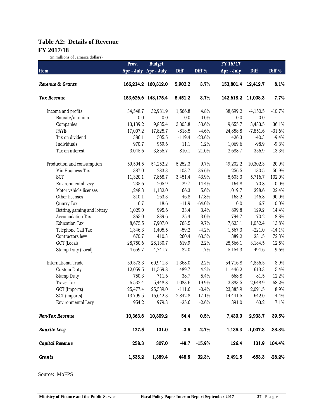# **Table A2: Details of Revenue FY 2017/18**

(in millions of Jamaica dollars)

|                             | <b>Budget</b><br>Prov. |                       |            | FY 16/17 |                    |            |                          |
|-----------------------------|------------------------|-----------------------|------------|----------|--------------------|------------|--------------------------|
| Item                        |                        | Apr - July Apr - July | Diff       | Diff %   | Apr - July         | Diff       | Diff %                   |
| Revenue & Grants            |                        | 166,214.2 160,312.0   | 5,902.2    | 3.7%     | 153,801.4          | 12,412.7   | 8.1%                     |
| Tax Revenue                 |                        | 153,626.6 148,175.4   | 5,451.2    | 3.7%     | 142,618.2 11,008.3 |            | 7.7%                     |
| Income and profits          | 34,548.7               | 32,981.9              | 1,566.8    | 4.8%     | 38,699.2           | $-4,150.5$ | $-10.7%$                 |
| Bauxite/alumina             | 0.0                    | 0.0                   | 0.0        | 0.0%     | 0.0                | 0.0        | $\overline{\phantom{a}}$ |
| Companies                   | 13,139.2               | 9,835.4               | 3,303.8    | 33.6%    | 9,655.7            | 3,483.5    | 36.1%                    |
| PAYE                        | 17,007.2               | 17,825.7              | $-818.5$   | $-4.6%$  | 24,858.8           | $-7,851.6$ | $-31.6%$                 |
| Tax on dividend             | 386.1                  | 505.5                 | $-119.4$   | $-23.6%$ | 426.3              | $-40.3$    | $-9.4%$                  |
| Individuals                 | 970.7                  | 959.6                 | 11.1       | 1.2%     | 1,069.6            | $-98.9$    | $-9.3%$                  |
| Tax on interest             | 3,045.6                | 3,855.7               | $-810.1$   | $-21.0%$ | 2,688.7            | 356.9      | 13.3%                    |
| Production and consumption  | 59,504.5               | 54,252.2              | 5,252.3    | 9.7%     | 49,202.2           | 10,302.3   | 20.9%                    |
| Min Business Tax            | 387.0                  | 283.3                 | 103.7      | 36.6%    | 256.5              | 130.5      | 50.9%                    |
| <b>SCT</b>                  | 11,320.1               | 7,868.7               | 3,451.4    | 43.9%    | 5,603.3            | 5,716.7    | 102.0%                   |
| Environmental Levy          | 235.6                  | 205.9                 | 29.7       | 14.4%    | 164.8              | 70.8       | 0.0%                     |
| Motor vehicle licenses      | 1,248.3                | 1,182.0               | 66.3       | 5.6%     | 1,019.7            | 228.6      | 22.4%                    |
| Other licenses              | 310.1                  | 263.3                 | 46.8       | 17.8%    | 163.2              | 146.8      | 90.0%                    |
| Quarry Tax                  | 6.7                    | 18.6                  | $-11.9$    | $-64.0%$ | 0.0                | 6.7        | 0.0%                     |
| Betting, gaming and lottery | 1,029.0                | 995.6                 | 33.4       | 3.4%     | 899.8              | 129.2      | 14.4%                    |
| Accomodation Tax            | 865.0                  | 839.6                 | 25.4       | 3.0%     | 794.7              | 70.2       | 8.8%                     |
| <b>Education Tax</b>        | 8,675.5                | 7,907.0               | 768.5      | 9.7%     | 7,623.1            | 1,052.4    | 13.8%                    |
| Telephone Call Tax          | 1,346.3                | 1,405.5               | $-59.2$    | $-4.2%$  | 1,567.3            | $-221.0$   | $-14.1%$                 |
| Contractors levy            | 670.7                  | 410.3                 | 260.4      | 63.5%    | 389.2              | 281.5      | 72.3%                    |
| GCT (Local)                 | 28,750.6               | 28,130.7              | 619.9      | 2.2%     | 25,566.1           | 3,184.5    | 12.5%                    |
| Stamp Duty (Local)          | 4,659.7                | 4,741.7               | $-82.0$    | $-1.7%$  | 5,154.3            | $-494.6$   | $-9.6%$                  |
| <b>International Trade</b>  | 59,573.3               | 60,941.3              | $-1,368.0$ | $-2.2%$  | 54,716.8           | 4,856.5    | 8.9%                     |
| Custom Duty                 | 12,059.5               | 11,569.8              | 489.7      | 4.2%     | 11,446.2           | 613.3      | 5.4%                     |
| Stamp Duty                  | 750.3                  | 711.6                 | 38.7       | 5.4%     | 668.8              | 81.5       | 12.2%                    |
| <b>Travel Tax</b>           | 6,532.4                | 5,448.8               | 1,083.6    | 19.9%    | 3,883.5            | 2,648.9    | 68.2%                    |
| GCT (Imports)               | 25,477.4               | 25,589.0              | $-111.6$   | $-0.4%$  | 23,385.9           | 2,091.5    | 8.9%                     |
| SCT (imports)               | 13,799.5               | 16,642.3              | $-2,842.8$ | $-17.1%$ | 14,441.5           | $-642.0$   | $-4.4%$                  |
| Environmental Levy          | 954.2                  | 979.8                 | $-25.6$    | $-2.6%$  | 891.0              | 63.2       | 7.1%                     |
| <b>Non-Tax Revenue</b>      | 10,363.6               | 10,309.2              | 54.4       | 0.5%     | 7,430.0            | 2,933.7    | 39.5%                    |
| <b>Bauxite Levy</b>         | 127.5                  | 131.0                 | $-3.5$     | $-2.7%$  | 1,135.3            | $-1,007.8$ | $-88.8%$                 |
| Capital Revenue             | 258.3                  | 307.0                 | $-48.7$    | $-15.9%$ | 126.4              | 131.9      | 104.4%                   |
| <b>Grants</b>               | 1,838.2                | 1,389.4               | 448.8      | 32.3%    | 2,491.5            | $-653.3$   | $-26.2%$                 |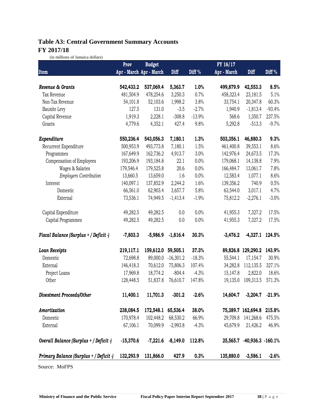# **Table A3: Central Government Summary Accounts FY 2017/18**

(in millions of Jamaica dollars)

|                                         | Prov                    | <b>Budget</b> |             |                   | FY 16/17    |                           |          |
|-----------------------------------------|-------------------------|---------------|-------------|-------------------|-------------|---------------------------|----------|
| Item                                    | Apr - March Apr - March |               | Diff        | Diff <sup>%</sup> | Apr - March | Diff                      | Diff %   |
| Revenue & Grants                        | 542,433.2               | 537,069.4     | 5,363.7     | 1.0%              | 499,879.9   | 42,553.3                  | 8.5%     |
| Tax Revenue                             | 481,504.9               | 478,254.6     | 3,250.3     | 0.7%              | 458,323.4   | 23,181.5                  | 5.1%     |
| Non-Tax Revenue                         | 54,101.8                | 52,103.6      | 1,998.2     | 3.8%              | 33,754.1    | 20,347.8                  | 60.3%    |
| Bauxite Levy                            | 127.5                   | 131.0         | $-3.5$      | $-2.7%$           | 1,940.9     | $-1,813.4$                | $-93.4%$ |
| Capital Revenue                         | 1,919.3                 | 2,228.1       | $-308.8$    | $-13.9%$          | 568.6       | 1,350.7                   | 237.5%   |
| Grants                                  | 4,779.6                 | 4,352.1       | 427.4       | 9.8%              | 5,292.8     | $-513.3$                  | $-9.7%$  |
| Expenditure                             | 550,236.4               | 543,056.3     | 7,180.1     | 1.3%              | 503,356.1   | 46,880.3                  | 9.3%     |
| Recurrent Expenditure                   | 500,953.9               | 493,773.8     | 7,180.1     | 1.5%              | 461,400.8   | 39,553.1                  | 8.6%     |
| Programmes                              | 167,649.9               | 162,736.2     | 4,913.7     | 3.0%              | 142,976.4   | 24,673.5                  | 17.3%    |
| Compensation of Employees               | 193,206.9               | 193,184.8     | 22.1        | 0.0%              | 179,068.1   | 14,138.8                  | 7.9%     |
| Wages & Salaries                        | 179,546.4               | 179,525.8     | 20.6        | 0.0%              | 166,484.7   | 13,061.7                  | 7.8%     |
| <b>Employers Contribution</b>           | 13,660.5                | 13,659.0      | 1.6         | 0.0%              | 12,583.4    | 1,077.1                   | 8.6%     |
| Interest                                | 140,097.1               | 137,852.9     | 2,244.2     | 1.6%              | 139,356.2   | 740.9                     | 0.5%     |
| Domestic                                | 66,561.0                | 62,903.4      | 3,657.7     | 5.8%              | 63,544.0    | 3,017.1                   | 4.7%     |
| External                                | 73,536.1                | 74,949.5      | $-1,413.4$  | $-1.9%$           | 75,812.2    | $-2,276.1$                | $-3.0%$  |
| Capital Expenditure                     | 49,282.5                | 49,282.5      | 0.0         | 0.0%              | 41,955.3    | 7,327.2                   | 17.5%    |
| Capital Programmes                      | 49,282.5                | 49,282.5      | 0.0         | 0.0%              | 41,955.3    | 7,327.2                   | 17.5%    |
| Fiscal Balance (Surplus + / Deficit -)  | $-7,803.3$              | $-5,986.9$    | $-1,816.4$  | 30.3%             | $-3,476.2$  | $-4,327.1$                | 124.5%   |
| <b>Loan Receipts</b>                    | 219,117.1               | 159,612.0     | 59,505.1    | 37.3%             | 89,826.8    | 129,290.2                 | 143.9%   |
| Domestic                                | 72,698.8                | 89,000.0      | $-16,301.2$ | $-18.3%$          | 55,544.1    | 17,154.7                  | 30.9%    |
| External                                | 146,418.3               | 70,612.0      | 75,806.3    | 107.4%            | 34,282.8    | 112,135.5                 | 327.1%   |
| Project Loans                           | 17,969.8                | 18,774.2      | $-804.4$    | $-4.3%$           | 15,147.8    | 2,822.0                   | 18.6%    |
| Other                                   | 128,448.5               | 51,837.8      | 76,610.7    | 147.8%            | 19,135.0    | 109,313.5                 | 571.3%   |
| Divestment Proceeds/Other               | 11,400.1                | 11,701.3      | $-301.2$    | $-2.6%$           | 14,604.7    | $-3,204.7$                | $-21.9%$ |
| Amortization                            | 238,084.5               | 172,548.1     | 65,536.4    | 38.0%             |             | 75,389.7 162,694.8 215.8% |          |
| Domestic                                | 170,978.4               | 102,448.2     | 68,530.2    | 66.9%             | 29,709.8    | 141,268.6                 | 475.5%   |
| External                                | 67,106.1                | 70,099.9      | $-2,993.8$  | $-4.3%$           | 45,679.9    | 21,426.2                  | 46.9%    |
| Overall Balance (Surplus + / Deficit -) | $-15,370.6$             | $-7,221.6$    | $-8,149.0$  | 112.8%            | 25,565.7    | $-40,936.3 -160.1%$       |          |
| Primary Balance (Surplus + / Deficit -) | 132,293.9               | 131,866.0     | 427.9       | 0.3%              | 135,880.0   | $-3,586.1$                | $-2.6%$  |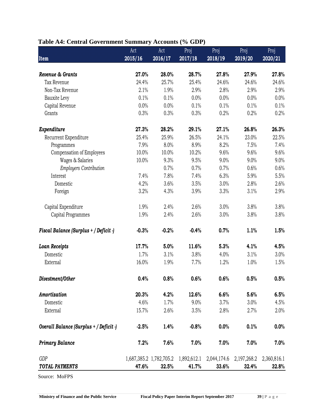| Table A4: Central Government Summary Accounts (% GDP) |  |  |  |
|-------------------------------------------------------|--|--|--|
|-------------------------------------------------------|--|--|--|

|                                         | Act     | Act                     | Proj        | Proj        | Proj        | Proj        |
|-----------------------------------------|---------|-------------------------|-------------|-------------|-------------|-------------|
| <b>Item</b>                             | 2015/16 | 2016/17                 | 2017/18     | 2018/19     | 2019/20     | 2020/21     |
|                                         |         |                         |             |             |             |             |
| Revenue & Grants                        | 27.0%   | 28.0%                   | 28.7%       | 27.8%       | 27.9%       | 27.8%       |
| Tax Revenue                             | 24.4%   | 25.7%                   | 25.4%       | 24.6%       | 24.6%       | 24.6%       |
| Non-Tax Revenue                         | 2.1%    | 1.9%                    | 2.9%        | 2.8%        | 2.9%        | 2.9%        |
| Bauxite Levy                            | 0.1%    | 0.1%                    | 0.0%        | 0.0%        | 0.0%        | 0.0%        |
| Capital Revenue                         | 0.0%    | 0.0%                    | 0.1%        | 0.1%        | 0.1%        | 0.1%        |
| Grants                                  | 0.3%    | 0.3%                    | 0.3%        | 0.2%        | 0.2%        | 0.2%        |
| Expenditure                             | 27.3%   | 28.2%                   | 29.1%       | 27.1%       | 26.8%       | 26.3%       |
| Recurrent Expenditure                   | 25.4%   | 25.9%                   | 26.5%       | 24.1%       | 23.0%       | 22.5%       |
| Programmes                              | 7.9%    | 8.0%                    | 8.9%        | 8.2%        | 7.5%        | 7.4%        |
| Compensation of Employees               | 10.0%   | 10.0%                   | 10.2%       | 9.6%        | 9.6%        | 9.6%        |
| Wages & Salaries                        | 10.0%   | 9.3%                    | 9.5%        | 9.0%        | 9.0%        | 9.0%        |
| <b>Employers Contribution</b>           |         | 0.7%                    | 0.7%        | 0.7%        | 0.6%        | 0.6%        |
| Interest                                | 7.4%    | 7.8%                    | 7.4%        | 6.3%        | 5.9%        | 5.5%        |
| Domestic                                | 4.2%    | 3.6%                    | 3.5%        | 3.0%        | 2.8%        | 2.6%        |
| Foreign                                 | 3.2%    | 4.3%                    | 3.9%        | 3.3%        | 3.1%        | 2.9%        |
| Capital Expenditure                     | 1.9%    | 2.4%                    | 2.6%        | 3.0%        | 3.8%        | 3.8%        |
| Capital Programmes                      | 1.9%    | 2.4%                    | 2.6%        | 3.0%        | 3.8%        | 3.8%        |
| Fiscal Balance (Surplus + / Deficit -)  | $-0.3%$ | $-0.2%$                 | $-0.4%$     | 0.7%        | 1.1%        | 1.5%        |
| <b>Loan Receipts</b>                    | 17.7%   | 5.0%                    | 11.6%       | 5.3%        | 4.1%        | 4.5%        |
| Domestic                                | 1.7%    | 3.1%                    | 3.8%        | 4.0%        | 3.1%        | 3.0%        |
| External                                | 16.0%   | 1.9%                    | 7.7%        | 1.2%        | 1.0%        | 1.5%        |
| Divestment/Other                        | 0.4%    | 0.8%                    | 0.6%        | 0.6%        | 0.5%        | 0.5%        |
| Amortization                            | 20.3%   | 4.2%                    | 12.6%       | 6.6%        | 5.6%        | 6.5%        |
| Domestic                                | 4.6%    | 1.7%                    | 9.0%        | 3.7%        | 3.0%        | 4.5%        |
| External                                | 15.7%   | 2.6%                    | 3.5%        | 2.8%        | 2.7%        | 2.0%        |
| Overall Balance (Surplus + / Deficit -) | $-2.5%$ | 1.4%                    | $-0.8%$     | 0.0%        | 0.1%        | 0.0%        |
| <b>Primary Balance</b>                  | 7.2%    | 7.6%                    | 7.0%        | 7.0%        | 7.0%        | 7.0%        |
| <b>GDP</b>                              |         | 1,687,385.2 1,782,705.2 | 1,892,612.1 | 2,044,174.6 | 2,197,268.2 | 2,360,816.1 |
| TOTAL PAYMENTS                          | 47.6%   | 32.5%                   | 41.7%       | 33.6%       | 32.4%       | 32.8%       |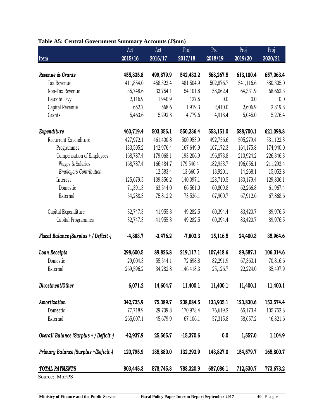| Table A5: Central Government Summary Accounts (J\$mn) |  |  |
|-------------------------------------------------------|--|--|
|-------------------------------------------------------|--|--|

|                                            | Act         | Act        | Proj        | Proj                                                     | Proj      | Proj         |
|--------------------------------------------|-------------|------------|-------------|----------------------------------------------------------|-----------|--------------|
| Item                                       | 2015/16     | 2016/17    | 2017/18     | 2018/19                                                  | 2019/20   | 2020/21      |
| Revenue & Grants                           | 455,835.8   | 499,879.9  | 542,433.2   | 568,267.5                                                | 613,100.4 | 657,063.4    |
| Tax Revenue                                | 411,854.0   | 458,323.4  | 481,504.9   | 502,876.7                                                | 541,116.6 | 580,305.0    |
| Non-Tax Revenue                            | 35,748.6    | 33,754.1   | 54,101.8    | 58,062.4                                                 | 64,331.9  | 68,662.3     |
| Bauxite Levy                               | 2,116.9     | 1,940.9    | 127.5       | 0.0                                                      | 0.0       | 0.0          |
| Capital Revenue                            | 652.7       | 568.6      | 1,919.3     | 2,410.0                                                  | 2,606.9   | 2,819.8      |
| Grants                                     | 5,463.6     | 5,292.8    | 4,779.6     | 4,918.4                                                  | 5,045.0   | 5,276.4      |
| Expenditure                                | 460,719.4   | 503,356.1  | 550,236.4   | 553,151.0                                                | 588,700.1 | 621,098.8    |
| Recurrent Expenditure                      | 427,972.1   | 461,400.8  | 500,953.9   | 492,756.6                                                | 505,279.4 | 531,122.3    |
| Programmes                                 | 133,505.2   | 142,976.4  | 167,649.9   | 167,172.3                                                | 164,175.8 | 174,940.0    |
| Compensation of Employees                  | 168,787.4   | 179,068.1  | 193,206.9   | 196,873.8                                                | 210,924.2 | 226,346.3    |
| Wages & Salaries                           | 168,787.4   | 166,484.7  | 179,546.4   | 182,953.7                                                | 196,656.1 | 211,293.4    |
| <b>Employers Contribution</b>              |             | 12,583.4   | 13,660.5    | 13,920.1                                                 | 14,268.1  | 15,052.8     |
| Interest                                   | 125,679.5   | 139,356.2  | 140,097.1   | 128,710.5                                                | 130,179.4 | 129,836.1    |
| Domestic                                   | 71,391.3    | 63,544.0   | 66,561.0    | 60,809.8                                                 | 62,266.8  | 61,967.4     |
| External                                   | 54,288.3    | 75,812.2   | 73,536.1    | 67,900.7                                                 | 67,912.6  | 67,868.6     |
| Capital Expenditure                        | 32,747.3    | 41,955.3   | 49,282.5    | 60,394.4                                                 | 83,420.7  | 89,976.5     |
| Capital Programmes                         | 32,747.3    | 41,955.3   | 49,282.5    | 60,394.4                                                 | 83,420.7  | 89,976.5     |
| Fiscal Balance (Surplus + / Deficit -)     | $-4,883.7$  | $-3,476.2$ | $-7,803.3$  | 15,116.5                                                 | 24,400.3  | 35,964.6     |
| <b>Loan Receipts</b>                       | 298,600.5   | 89,826.8   | 219,117.1   | 107,418.6                                                | 89,587.1  | 106,314.6    |
| Domestic                                   | 29,004.3    | 55,544.1   | 72,698.8    | 82,291.9                                                 | 67,363.1  | 70,816.6     |
| External                                   | 269,596.2   | 34,282.8   | 146,418.3   | 25,126.7                                                 | 22,224.0  | 35,497.9     |
| Divestment/Other                           | 6,071.2     | 14,604.7   | 11,400.1    | 11,400.1                                                 | 11,400.1  | 11,400.1     |
| Amortization                               | 342,725.9   | 75,389.7   | 238,084.5   | 133,935.1                                                | 123,830.6 | 152,574.4    |
| Domestic                                   | 77,718.9    | 29,709.8   | 170,978.4   | 76,619.2                                                 | 65,173.4  | 105,752.8    |
| External                                   | 265,007.1   | 45,679.9   | 67,106.1    | 57,315.8                                                 | 58,657.2  | 46,821.6     |
| Overall Balance (Surplus + / Deficit -)    | $-42,937.9$ | 25,565.7   | $-15,370.6$ | 0.0                                                      | 1,557.0   | 1,104.9      |
| Primary Balance (Surplus +/Deficit -)      | 120,795.9   | 135,880.0  | 132,293.9   | 143,827.0                                                | 154,579.7 | 165,800.7    |
| TOTAL PAYMENTS                             | 803,445.3   | 578,745.8  | 788,320.9   | 687,086.1                                                | 712,530.7 | 773,673.2    |
| Source: MoFPS                              |             |            |             |                                                          |           |              |
| Ministry of Finance and the Public Service |             |            |             | <b>Fiscal Policy Paper Interim Report September 2017</b> |           | $40 P$ a g e |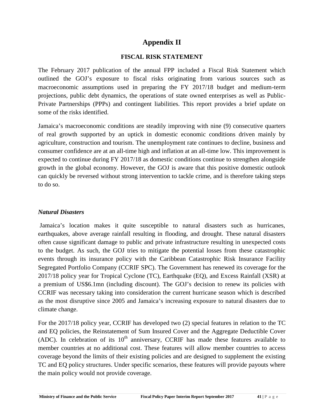# **Appendix II**

# **FISCAL RISK STATEMENT**

The February 2017 publication of the annual FPP included a Fiscal Risk Statement which outlined the GOJ's exposure to fiscal risks originating from various sources such as macroeconomic assumptions used in preparing the FY 2017/18 budget and medium-term projections, public debt dynamics, the operations of state owned enterprises as well as Public- Private Partnerships (PPPs) and contingent liabilities. This report provides a brief update on some of the risks identified.

Jamaica's macroeconomic conditions are steadily improving with nine (9) consecutive quarters of real growth supported by an uptick in domestic economic conditions driven mainly by agriculture, construction and tourism. The unemployment rate continues to decline, business and consumer confidence are at an all-time high and inflation at an all-time low. This improvement is expected to continue during FY 2017/18 as domestic conditions continue to strengthen alongside growth in the global economy. However, the GOJ is aware that this positive domestic outlook can quickly be reversed without strong intervention to tackle crime, and is therefore taking steps to do so.

# *Natural Disasters*

Jamaica's location makes it quite susceptible to natural disasters such as hurricanes, earthquakes, above average rainfall resulting in flooding, and drought. These natural disasters often cause significant damage to public and private infrastructure resulting in unexpected costs to the budget. As such, the GOJ tries to mitigate the potential losses from these catastrophic events through its insurance policy with the Caribbean Catastrophic Risk Insurance Facility Segregated Portfolio Company (CCRIF SPC). The Government has renewed its coverage for the 2017/18 policy year for Tropical Cyclone (TC), Earthquake (EQ), and Excess Rainfall (XSR) at a premium of US\$6.1mn (including discount). The GOJ's decision to renew its policies with CCRIF was necessary taking into consideration the current hurricane season which is described as the most disruptive since 2005 and Jamaica's increasing exposure to natural disasters due to climate change.

**Ministry of Finance and the Public Service Fiscal Policy Paper Interim Report September 2017 <sup>41</sup> <sup>|</sup> P a g e** For the 2017/18 policy year, CCRIF has developed two (2) special features in relation to the TC and EQ policies, the Reinstatement of Sum Insured Cover and the Aggregate Deductible Cover (ADC). In celebration of its  $10<sup>th</sup>$  anniversary, CCRIF has made these features available to member countries at no additional cost. These features will allow member countries to access coverage beyond the limits of their existing policies and are designed to supplement the existing TC and EQ policy structures. Under specific scenarios, these features will provide payouts where the main policy would not provide coverage.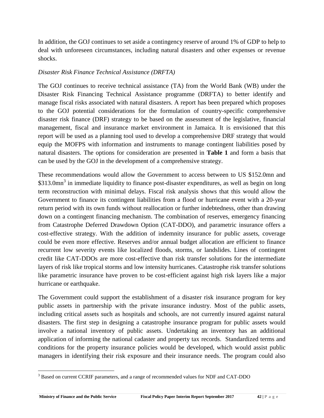In addition, the GOJ continues to set aside a contingency reserve of around 1% of GDP to help to deal with unforeseen circumstances, including natural disasters and other expenses or revenue shocks.

# *Disaster Risk Finance Technical Assistance (DRFTA)*

The GOJ continues to receive technical assistance (TA) from the World Bank (WB) under the Disaster Risk Financing Technical Assistance programme (DRFTA) to better identify and manage fiscal risks associated with natural disasters. A report has been prepared which proposes to the GOJ potential considerations for the formulation of country-specific comprehensive disaster risk finance (DRF) strategy to be based on the assessment of the legislative, financial management, fiscal and insurance market environment in Jamaica. It is envisioned that this report will be used as a planning tool used to develop a comprehensive DRF strategy that would equip the MOFPS with information and instruments to manage contingent liabilities posed by natural disasters. The options for consideration are presented in **Table 1** and form a basis that can be used by the GOJ in the development of a comprehensive strategy.

These recommendations would allow the Government to access between to US \$152.0mn and \$313.0mn<sup>3</sup> in immediate liquidity to finance post-disaster expenditures, as well as begin on long term reconstruction with minimal delays. Fiscal risk analysis shows that this would allow the Government to finance its contingent liabilities from a flood or hurricane event with a 20-year return period with its own funds without reallocation or further indebtedness, other than drawing down on a contingent financing mechanism. The combination of reserves, emergency financing from Catastrophe Deferred Drawdown Option (CAT-DDO), and parametric insurance offers a cost-effective strategy. With the addition of indemnity insurance for public assets, coverage could be even more effective. Reserves and/or annual budget allocation are efficient to finance recurrent low severity events like localized floods, storms, or landslides. Lines of contingent credit like CAT-DDOs are more cost-effective than risk transfer solutions for the intermediate layers of risk like tropical storms and low intensity hurricanes. Catastrophe risk transfer solutions like parametric insurance have proven to be cost-efficient against high risk layers like a major hurricane or earthquake.

The Government could support the establishment of a disaster risk insurance program for key public assets in partnership with the private insurance industry. Most of the public assets, including critical assets such as hospitals and schools, are not currently insured against natural disasters. The first step in designing a catastrophe insurance program for public assets would involve a national inventory of public assets. Undertaking an inventory has an additional application of informing the national cadaster and property tax records. Standardized terms and conditions for the property insurance policies would be developed, which would assist public managers in identifying their risk exposure and their insurance needs. The program could also

<sup>&</sup>lt;sup>3</sup> Based on current CCRIF parameters, and a range of recommended values for NDF and CAT-DDO<br>Ministry of Finance and the Public Service<br>Fiscal Policy Paper Interim Report September 2017 42 | P a g e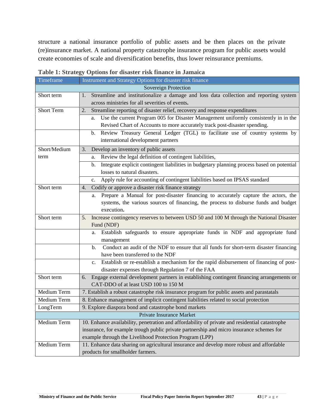structure a national insurance portfolio of public assets and be then places on the private (re)insurance market. A national property catastrophe insurance program for public assets would create economies of scale and diversification benefits, thus lower reinsurance premiums.

| Timeframe    | Instrument and Strategy Options for disaster risk finance                                                                                      |
|--------------|------------------------------------------------------------------------------------------------------------------------------------------------|
|              | Sovereign Protection                                                                                                                           |
| Short term   | Streamline and institutionalize a damage and loss data collection and reporting system<br>1.                                                   |
|              | across ministries for all severities of events.                                                                                                |
| Short Term   | Streamline reporting of disaster relief, recovery and response expenditures<br>2.                                                              |
|              | Use the current Program 005 for Disaster Management uniformly consistently in in the<br>a.                                                     |
|              | Revised Chart of Accounts to more accurately track post-disaster spending.                                                                     |
|              | Review Treasury General Ledger (TGL) to facilitate use of country systems by<br>b.                                                             |
|              | international development partners                                                                                                             |
| Short/Medium | Develop an inventory of public assets<br>3.                                                                                                    |
| term         | Review the legal definition of contingent liabilities,<br>a.                                                                                   |
|              | Integrate explicit contingent liabilities in budgetary planning process based on potential<br>b.                                               |
|              | losses to natural disasters.                                                                                                                   |
|              | Apply rule for accounting of contingent liabilities based on IPSAS standard<br>c.                                                              |
| Short term   | Codify or approve a disaster risk finance strategy<br>4.                                                                                       |
|              | Prepare a Manual for post-disaster financing to accurately capture the actors, the<br>а.                                                       |
|              | systems, the various sources of financing, the process to disburse funds and budget                                                            |
|              | execution.                                                                                                                                     |
| Short term   | Increase contingency reserves to between USD 50 and 100 M through the National Disaster<br>5.                                                  |
|              | Fund (NDF)                                                                                                                                     |
|              | Establish safeguards to ensure appropriate funds in NDF and appropriate fund<br>a.                                                             |
|              | management                                                                                                                                     |
|              | Conduct an audit of the NDF to ensure that all funds for short-term disaster financing<br>b.                                                   |
|              | have been transferred to the NDF                                                                                                               |
|              | Establish or re-establish a mechanism for the rapid disbursement of financing of post-<br>c.                                                   |
| Short term   | disaster expenses through Regulation 7 of the FAA<br>Engage external development partners in establishing contingent financing arrangements or |
|              | 6.<br>CAT-DDO of at least USD 100 to 150 M                                                                                                     |
| Medium Term  | 7. Establish a robust catastrophe risk insurance program for public assets and parastatals                                                     |
| Medium Term  | 8. Enhance management of implicit contingent liabilities related to social protection                                                          |
| LongTerm     | 9. Explore diaspora bond and catastrophe bond markets                                                                                          |
|              | Private Insurance Market                                                                                                                       |
| Medium Term  | 10. Enhance availability, penetration and affordability of private and residential catastrophe                                                 |
|              | insurance, for example trough public private partnership and micro insurance schemes for                                                       |
|              | example through the Livelihood Protection Program (LPP)                                                                                        |
| Medium Term  | 11. Enhance data sharing on agricultural insurance and develop more robust and affordable                                                      |
|              | products for smallholder farmers.                                                                                                              |

# **Table 1: Strategy Options for disaster risk finance in Jamaica**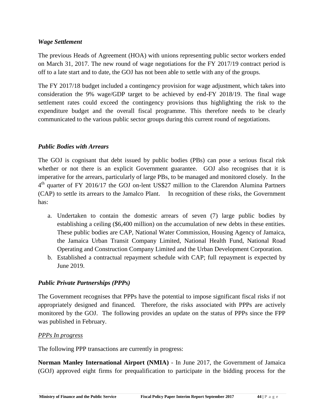# *Wage Settlement*

The previous Heads of Agreement (HOA) with unions representing public sector workers ended on March 31, 2017. The new round of wage negotiations for the FY 2017/19 contract period is off to a late start and to date, the GOJ has not been able to settle with any of the groups.

The FY 2017/18 budget included a contingency provision for wage adjustment, which takes into consideration the 9% wage/GDP target to be achieved by end-FY 2018/19. The final wage settlement rates could exceed the contingency provisions thus highlighting the risk to the expenditure budget and the overall fiscal programme. This therefore needs to be clearly communicated to the various public sector groups during this current round of negotiations.

# *Public Bodies with Arrears*

The GOJ is cognisant that debt issued by public bodies (PBs) can pose a serious fiscal risk whether or not there is an explicit Government guarantee. GOJ also recognises that it is imperative for the arrears, particularly of large PBs, to be managed and monitored closely. In the 4<sup>th</sup> quarter of FY 2016/17 the GOJ on-lent US\$27 million to the Clarendon Alumina Partners (CAP) to settle its arrears to the Jamalco Plant. In recognition of these risks, the Government has:

- a. Undertaken to contain the domestic arrears of seven (7) large public bodies by establishing a ceiling (\$6,400 million) on the accumulation of new debts in these entities. These public bodies are CAP, National Water Commission, Housing Agency of Jamaica, the Jamaica Urban Transit Company Limited, National Health Fund, National Road Operating and Construction Company Limited and the Urban Development Corporation.
- b. Established a contractual repayment schedule with CAP; full repayment is expected by June 2019.

# *Public Private Partnerships (PPPs)*

The Government recognises that PPPs have the potential to impose significant fiscal risks if not appropriately designed and financed. Therefore, the risks associated with PPPs are actively monitored by the GOJ. The following provides an update on the status of PPPs since the FPP was published in February.

# *PPPs In progress*

The following PPP transactions are currently in progress:

**Ministry of Finance and the Public Service Fiscal Policy Paper Interim Report September 2017 44** | P a g e **Norman Manley International Airport (NMIA)** - In June 2017, the Government of Jamaica (GOJ) approved eight firms for prequalification to participate in the bidding process for the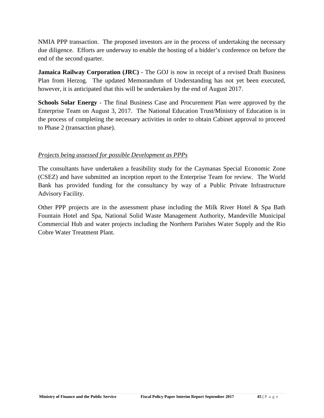NMIA PPP transaction. The proposed investors are in the process of undertaking the necessary due diligence. Efforts are underway to enable the hosting of a bidder's conference on before the end of the second quarter.

**Jamaica Railway Corporation (JRC)** - The GOJ is now in receipt of a revised Draft Business Plan from Herzog. The updated Memorandum of Understanding has not yet been executed, however, it is anticipated that this will be undertaken by the end of August 2017.

**Schools Solar Energy** - The final Business Case and Procurement Plan were approved by the Enterprise Team on August 3, 2017. The National Education Trust/Ministry of Education is in the process of completing the necessary activities in order to obtain Cabinet approval to proceed to Phase 2 (transaction phase).

# *Projects being assessed for possible Development as PPPs*

The consultants have undertaken a feasibility study for the Caymanas Special Economic Zone (CSEZ) and have submitted an inception report to the Enterprise Team for review. The World Bank has provided funding for the consultancy by way of a Public Private Infrastructure Advisory Facility.

Other PPP projects are in the assessment phase including the Milk River Hotel & Spa Bath Fountain Hotel and Spa, National Solid Waste Management Authority, Mandeville Municipal Commercial Hub and water projects including the Northern Parishes Water Supply and the Rio Cobre Water Treatment Plant.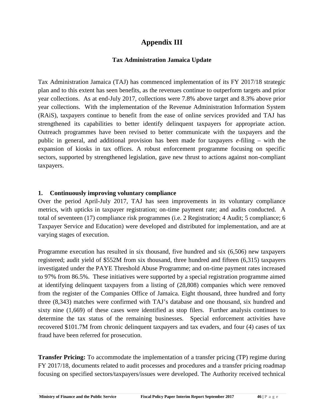# **Appendix III**

# **Tax Administration Jamaica Update**

Tax Administration Jamaica (TAJ) has commenced implementation of its FY 2017/18 strategic plan and to this extent has seen benefits, as the revenues continue to outperform targets and prior year collections. As at end-July 2017, collections were 7.8% above target and 8.3% above prior year collections. With the implementation of the Revenue Administration Information System (RAiS), taxpayers continue to benefit from the ease of online services provided and TAJ has strengthened its capabilities to better identify delinquent taxpayers for appropriate action. Outreach programmes have been revised to better communicate with the taxpayers and the public in general, and additional provision has been made for taxpayers *e-*filing – with the expansion of kiosks in tax offices. A robust enforcement programme focusing on specific sectors, supported by strengthened legislation, gave new thrust to actions against non-compliant taxpayers.

# **1. Continuously improving voluntary compliance**

Over the period April-July 2017, TAJ has seen improvements in its voluntary compliance metrics, with upticks in taxpayer registration; on-time payment rate; and audits conducted. A total of seventeen (17) compliance risk programmes (i.e. 2 Registration; 4 Audit; 5 compliance; 6 Taxpayer Service and Education) were developed and distributed for implementation, and are at varying stages of execution.

Programme execution has resulted in six thousand, five hundred and six (6,506) new taxpayers registered; audit yield of \$552M from six thousand, three hundred and fifteen (6,315) taxpayers investigated under the PAYE Threshold Abuse Programme; and on-time payment rates increased to 97% from 86.5%. These initiatives were supported by a special registration programme aimed at identifying delinquent taxpayers from a listing of (28,808) companies which were removed from the register of the Companies Office of Jamaica. Eight thousand, three hundred and forty three (8,343) matches were confirmed with TAJ's database and one thousand, six hundred and sixty nine (1,669) of these cases were identified as stop filers. Further analysis continues to determine the tax status of the remaining businesses. Special enforcement activities have recovered \$101.7M from chronic delinquent taxpayers and tax evaders, and four (4) cases of tax fraud have been referred for prosecution.

focusing on specified sectors/taxpayers/issues were developed. The Authority received technical<br>Ministry of Finance and the Public Service Fiscal Policy Paper Interim Report September 2017 46 | P a g e **Transfer Pricing:** To accommodate the implementation of a transfer pricing (TP) regime during FY 2017/18, documents related to audit processes and procedures and a transfer pricing roadmap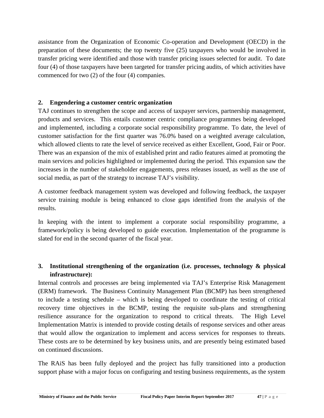assistance from the Organization of Economic Co-operation and Development (OECD) in the preparation of these documents; the top twenty five (25) taxpayers who would be involved in transfer pricing were identified and those with transfer pricing issues selected for audit. To date four (4) of those taxpayers have been targeted for transfer pricing audits, of which activities have commenced for two (2) of the four (4) companies.

# **2. Engendering a customer centric organization**

TAJ continues to strengthen the scope and access of taxpayer services, partnership management, products and services. This entails customer centric compliance programmes being developed and implemented, including a corporate social responsibility programme. To date, the level of customer satisfaction for the first quarter was 76.0% based on a weighted average calculation, which allowed clients to rate the level of service received as either Excellent, Good, Fair or Poor. There was an expansion of the mix of established print and radio features aimed at promoting the main services and policies highlighted or implemented during the period. This expansion saw the increases in the number of stakeholder engagements, press releases issued, as well as the use of social media, as part of the strategy to increase TAJ's visibility.

A customer feedback management system was developed and following feedback, the taxpayer service training module is being enhanced to close gaps identified from the analysis of the results.

In keeping with the intent to implement a corporate social responsibility programme, a framework/policy is being developed to guide execution. Implementation of the programme is slated for end in the second quarter of the fiscal year.

# **3. Institutional strengthening of the organization (i.e. processes, technology & physical infrastructure):**

Internal controls and processes are being implemented via TAJ's Enterprise Risk Management (ERM) framework. The Business Continuity Management Plan (BCMP) has been strengthened to include a testing schedule – which is being developed to coordinate the testing of critical recovery time objectives in the BCMP, testing the requisite sub-plans and strengthening resilience assurance for the organization to respond to critical threats. The High Level Implementation Matrix is intended to provide costing details of response services and other areas that would allow the organization to implement and access services for responses to threats. These costs are to be determined by key business units, and are presently being estimated based on continued discussions.

support phase with a major focus on configuring and testing business requirements, as the system<br>Ministry of Finance and the Public Service Fiscal Policy Paper Interim Report September 2017 47 | P a g e The RAiS has been fully deployed and the project has fully transitioned into a production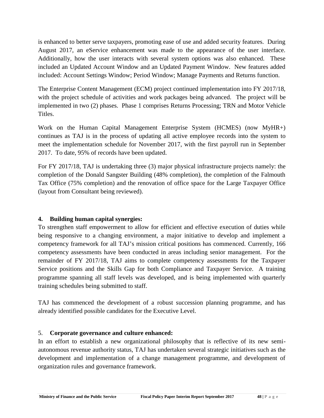is enhanced to better serve taxpayers, promoting ease of use and added security features. During August 2017, an eService enhancement was made to the appearance of the user interface. Additionally, how the user interacts with several system options was also enhanced. These included an Updated Account Window and an Updated Payment Window. New features added included: Account Settings Window; Period Window; Manage Payments and Returns function.

The Enterprise Content Management (ECM) project continued implementation into FY 2017/18, with the project schedule of activities and work packages being advanced. The project will be implemented in two (2) phases. Phase 1 comprises Returns Processing; TRN and Motor Vehicle Titles.

Work on the Human Capital Management Enterprise System (HCMES) (now MyHR+) continues as TAJ is in the process of updating all active employee records into the system to meet the implementation schedule for November 2017, with the first payroll run in September 2017. To date, 95% of records have been updated.

For FY 2017/18, TAJ is undertaking three (3) major physical infrastructure projects namely: the completion of the Donald Sangster Building (48% completion), the completion of the Falmouth Tax Office (75% completion) and the renovation of office space for the Large Taxpayer Office (layout from Consultant being reviewed).

# **4. Building human capital synergies:**

To strengthen staff empowerment to allow for efficient and effective execution of duties while being responsive to a changing environment, a major initiative to develop and implement a competency framework for all TAJ's mission critical positions has commenced. Currently, 166 competency assessments have been conducted in areas including senior management. For the remainder of FY 2017/18, TAJ aims to complete competency assessments for the Taxpayer Service positions and the Skills Gap for both Compliance and Taxpayer Service. A training programme spanning all staff levels was developed, and is being implemented with quarterly training schedules being submitted to staff.

TAJ has commenced the development of a robust succession planning programme, and has already identified possible candidates for the Executive Level.

# 5. **Corporate governance and culture enhanced:**

In an effort to establish a new organizational philosophy that is reflective of its new semi autonomous revenue authority status, TAJ has undertaken several strategic initiatives such as the development and implementation of a change management programme, and development of organization rules and governance framework.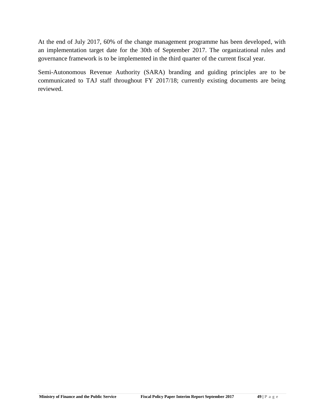At the end of July 2017, 60% of the change management programme has been developed, with an implementation target date for the 30th of September 2017. The organizational rules and governance framework is to be implemented in the third quarter of the current fiscal year.

Semi-Autonomous Revenue Authority (SARA) branding and guiding principles are to be communicated to TAJ staff throughout FY 2017/18; currently existing documents are being reviewed.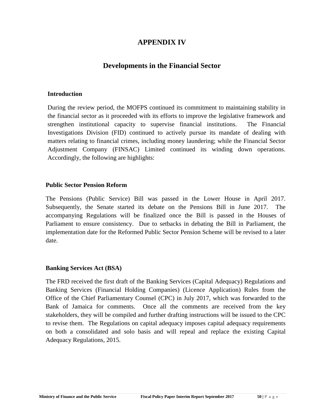# **APPENDIX IV**

# **Developments in the Financial Sector**

#### **Introduction**

During the review period, the MOFPS continued its commitment to maintaining stability in the financial sector as it proceeded with its efforts to improve the legislative framework and strengthen institutional capacity to supervise financial institutions. The Financial Investigations Division (FID) continued to actively pursue its mandate of dealing with matters relating to financial crimes, including money laundering; while the Financial Sector Adjustment Company (FINSAC) Limited continued its winding down operations. Accordingly, the following are highlights:

#### **Public Sector Pension Reform**

The Pensions (Public Service) Bill was passed in the Lower House in April 2017. Subsequently, the Senate started its debate on the Pensions Bill in June 2017. The accompanying Regulations will be finalized once the Bill is passed in the Houses of Parliament to ensure consistency. Due to setbacks in debating the Bill in Parliament, the implementation date for the Reformed Public Sector Pension Scheme will be revised to a later date.

# **Banking Services Act (BSA)**

The FRD received the first draft of the Banking Services (Capital Adequacy) Regulations and Banking Services (Financial Holding Companies) (Licence Application) Rules from the Office of the Chief Parliamentary Counsel (CPC) in July 2017, which was forwarded to the Bank of Jamaica for comments. Once all the comments are received from the key stakeholders, they will be compiled and further drafting instructions will be issued to the CPC to revise them. The Regulations on capital adequacy imposes capital adequacy requirements on both a consolidated and solo basis and will repeal and replace the existing Capital Adequacy Regulations, 2015.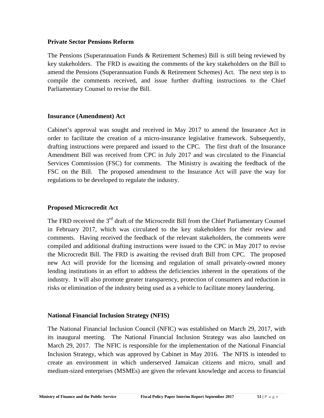#### **Private Sector Pensions Reform**

The Pensions (Superannuation Funds & Retirement Schemes) Bill is still being reviewed by key stakeholders. The FRD is awaiting the comments of the key stakeholders on the Bill to amend the Pensions (Superannuation Funds & Retirement Schemes) Act. The next step is to compile the comments received, and issue further drafting instructions to the Chief Parliamentary Counsel to revise the Bill.

#### **Insurance (Amendment) Act**

Cabinet's approval was sought and received in May 2017 to amend the Insurance Act in order to facilitate the creation of a micro-insurance legislative framework. Subsequently, drafting instructions were prepared and issued to the CPC. The first draft of the Insurance Amendment Bill was received from CPC in July 2017 and was circulated to the Financial Services Commission (FSC) for comments. The Ministry is awaiting the feedback of the FSC on the Bill. The proposed amendment to the Insurance Act will pave the way for regulations to be developed to regulate the industry.

#### **Proposed Microcredit Act**

The FRD received the  $3<sup>rd</sup>$  draft of the Microcredit Bill from the Chief Parliamentary Counsel in February 2017, which was circulated to the key stakeholders for their review and comments. Having received the feedback of the relevant stakeholders, the comments were compiled and additional drafting instructions were issued to the CPC in May 2017 to revise the Microcredit Bill. The FRD is awaiting the revised draft Bill from CPC. The proposed new Act will provide for the licensing and regulation of small privately-owned money lending institutions in an effort to address the deficiencies inherent in the operations of the industry. It will also promote greater transparency, protection of consumers and reduction in risks or elimination of the industry being used as a vehicle to facilitate money laundering.

#### **National Financial Inclusion Strategy (NFIS)**

The National Financial Inclusion Council (NFIC) was established on March 29, 2017, with its inaugural meeting. The National Financial Inclusion Strategy was also launched on March 29, 2017. The NFIC is responsible for the implementation of the National Financial Inclusion Strategy, which was approved by Cabinet in May 2016. The NFIS is intended to create an environment in which underserved Jamaican citizens and micro, small and medium-sized enterprises (MSMEs) are given the relevant knowledge and access to financial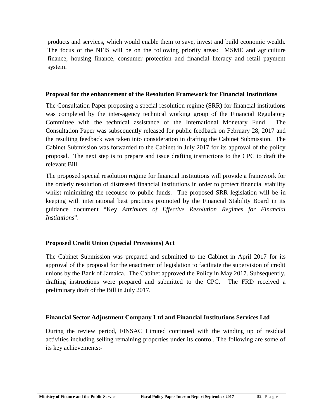products and services, which would enable them to save, invest and build economic wealth. The focus of the NFIS will be on the following priority areas: MSME and agriculture finance, housing finance, consumer protection and financial literacy and retail payment system.

#### **Proposal for the enhancement of the Resolution Framework for Financial Institutions**

The Consultation Paper proposing a special resolution regime (SRR) for financial institutions was completed by the inter-agency technical working group of the Financial Regulatory Committee with the technical assistance of the International Monetary Fund. The Consultation Paper was subsequently released for public feedback on February 28, 2017 and the resulting feedback was taken into consideration in drafting the Cabinet Submission. The Cabinet Submission was forwarded to the Cabinet in July 2017 for its approval of the policy proposal. The next step is to prepare and issue drafting instructions to the CPC to draft the relevant Bill.

The proposed special resolution regime for financial institutions will provide a framework for the orderly resolution of distressed financial institutions in order to protect financial stability whilst minimizing the recourse to public funds. The proposed SRR legislation will be in keeping with international best practices promoted by the Financial Stability Board in its guidance document "Key *Attributes of Effective Resolution Regimes for Financial Institutions*".

# **Proposed Credit Union (Special Provisions) Act**

The Cabinet Submission was prepared and submitted to the Cabinet in April 2017 for its approval of the proposal for the enactment of legislation to facilitate the supervision of credit unions by the Bank of Jamaica. The Cabinet approved the Policy in May 2017. Subsequently, drafting instructions were prepared and submitted to the CPC. The FRD received a preliminary draft of the Bill in July 2017.

# **Financial Sector Adjustment Company Ltd and Financial Institutions Services Ltd**

During the review period, FINSAC Limited continued with the winding up of residual activities including selling remaining properties under its control. The following are some of its key achievements:-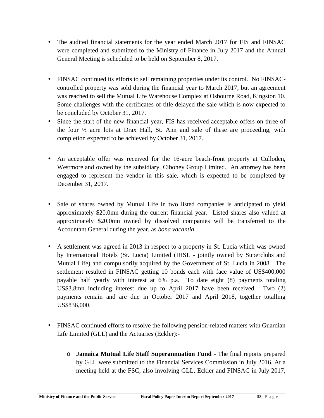- The audited financial statements for the year ended March 2017 for FIS and FINSAC were completed and submitted to the Ministry of Finance in July 2017 and the Annual General Meeting is scheduled to be held on September 8, 2017.
- FINSAC continued its efforts to sell remaining properties under its control. No FINSAC controlled property was sold during the financial year to March 2017, but an agreement was reached to sell the Mutual Life Warehouse Complex at Osbourne Road, Kingston 10. Some challenges with the certificates of title delayed the sale which is now expected to be concluded by October 31, 2017.
- Since the start of the new financial year, FIS has received acceptable offers on three of the four ½ acre lots at Drax Hall, St. Ann and sale of these are proceeding, with completion expected to be achieved by October 31, 2017.
- An acceptable offer was received for the 16-acre beach-front property at Culloden, Westmoreland owned by the subsidiary, Ciboney Group Limited. An attorney has been engaged to represent the vendor in this sale, which is expected to be completed by December 31, 2017.
- Sale of shares owned by Mutual Life in two listed companies is anticipated to yield approximately \$20.0mn during the current financial year. Listed shares also valued at approximately \$20.0mn owned by dissolved companies will be transferred to the Accountant General during the year, as *bona vacantia*.
- A settlement was agreed in 2013 in respect to a property in St. Lucia which was owned by International Hotels (St. Lucia) Limited (IHSL - jointly owned by Superclubs and Mutual Life) and compulsorily acquired by the Government of St. Lucia in 2008. The settlement resulted in FINSAC getting 10 bonds each with face value of US\$400,000 payable half yearly with interest at 6% p.a. To date eight (8) payments totaling US\$3.8mn including interest due up to April 2017 have been received. Two (2) payments remain and are due in October 2017 and April 2018, together totalling US\$836,000.
- FINSAC continued efforts to resolve the following pension-related matters with Guardian Life Limited (GLL) and the Actuaries (Eckler):-
- **Ministry of Finance and the Public Service Fiscal Policy Paper Interim Report September 2017 53** | **P** a g e o **Jamaica Mutual Life Staff Superannuation Fund** - The final reports prepared by GLL were submitted to the Financial Services Commission in July 2016. At a meeting held at the FSC, also involving GLL, Eckler and FINSAC in July 2017,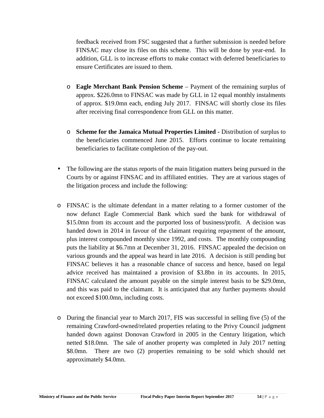feedback received from FSC suggested that a further submission is needed before FINSAC may close its files on this scheme. This will be done by year-end. In addition, GLL is to increase efforts to make contact with deferred beneficiaries to ensure Certificates are issued to them.

- o **Eagle Merchant Bank Pension Scheme** Payment of the remaining surplus of approx. \$226.0mn to FINSAC was made by GLL in 12 equal monthly instalments of approx. \$19.0mn each, ending July 2017. FINSAC will shortly close its files after receiving final correspondence from GLL on this matter.
- o **Scheme for the Jamaica Mutual Properties Limited -** Distribution of surplus to the beneficiaries commenced June 2015. Efforts continue to locate remaining beneficiaries to facilitate completion of the pay-out.
- The following are the status reports of the main litigation matters being pursued in the Courts by or against FINSAC and its affiliated entities. They are at various stages of the litigation process and include the following:
- o FINSAC is the ultimate defendant in a matter relating to a former customer of the now defunct Eagle Commercial Bank which sued the bank for withdrawal of \$15.0mn from its account and the purported loss of business/profit. A decision was handed down in 2014 in favour of the claimant requiring repayment of the amount, plus interest compounded monthly since 1992, and costs. The monthly compounding puts the liability at \$6.7mn at December 31, 2016. FINSAC appealed the decision on various grounds and the appeal was heard in late 2016. A decision is still pending but FINSAC believes it has a reasonable chance of success and hence, based on legal advice received has maintained a provision of \$3.8bn in its accounts. In 2015, FINSAC calculated the amount payable on the simple interest basis to be \$29.0mn, and this was paid to the claimant. It is anticipated that any further payments should not exceed \$100.0mn, including costs.
- o During the financial year to March 2017, FIS was successful in selling five (5) of the remaining Crawford-owned/related properties relating to the Privy Council judgment handed down against Donovan Crawford in 2005 in the Century litigation, which netted \$18.0mn. The sale of another property was completed in July 2017 netting \$8.0mn. There are two (2) properties remaining to be sold which should net approximately \$4.0mn.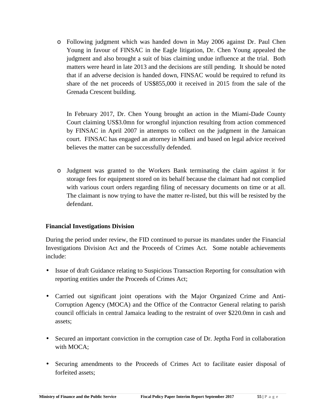o Following judgment which was handed down in May 2006 against Dr. Paul Chen Young in favour of FINSAC in the Eagle litigation, Dr. Chen Young appealed the judgment and also brought a suit of bias claiming undue influence at the trial. Both matters were heard in late 2013 and the decisions are still pending. It should be noted that if an adverse decision is handed down, FINSAC would be required to refund its share of the net proceeds of US\$855,000 it received in 2015 from the sale of the Grenada Crescent building.

In February 2017, Dr. Chen Young brought an action in the Miami-Dade County Court claiming US\$3.0mn for wrongful injunction resulting from action commenced by FINSAC in April 2007 in attempts to collect on the judgment in the Jamaican court. FINSAC has engaged an attorney in Miami and based on legal advice received believes the matter can be successfully defended.

o Judgment was granted to the Workers Bank terminating the claim against it for storage fees for equipment stored on its behalf because the claimant had not complied with various court orders regarding filing of necessary documents on time or at all. The claimant is now trying to have the matter re-listed, but this will be resisted by the defendant.

# **Financial Investigations Division**

During the period under review, the FID continued to pursue its mandates under the Financial Investigations Division Act and the Proceeds of Crimes Act. Some notable achievements include:

- Issue of draft Guidance relating to Suspicious Transaction Reporting for consultation with reporting entities under the Proceeds of Crimes Act;
- Carried out significant joint operations with the Major Organized Crime and Anti- Corruption Agency (MOCA) and the Office of the Contractor General relating to parish council officials in central Jamaica leading to the restraint of over \$220.0mn in cash and assets;
- Secured an important conviction in the corruption case of Dr. Jeptha Ford in collaboration with MOCA;
- **Ministry of Finance and the Public Service <b>Fiscal Policy Paper Interim Report September 2017 55** | **P** a g e Securing amendments to the Proceeds of Crimes Act to facilitate easier disposal of forfeited assets;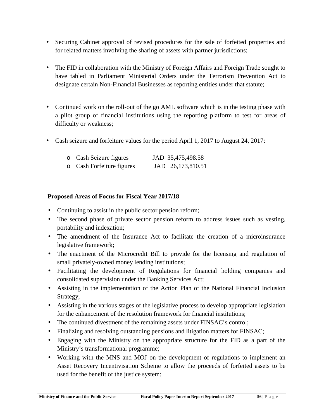- Securing Cabinet approval of revised procedures for the sale of forfeited properties and for related matters involving the sharing of assets with partner jurisdictions;
- The FID in collaboration with the Ministry of Foreign Affairs and Foreign Trade sought to have tabled in Parliament Ministerial Orders under the Terrorism Prevention Act to designate certain Non-Financial Businesses as reporting entities under that statute;
- Continued work on the roll-out of the go AML software which is in the testing phase with a pilot group of financial institutions using the reporting platform to test for areas of difficulty or weakness;
- Cash seizure and forfeiture values for the period April 1, 2017 to August 24, 2017:

| o Cash Seizure figures    | JAD 35,475,498.58 |
|---------------------------|-------------------|
| o Cash Forfeiture figures | JAD 26,173,810.51 |

# **Proposed Areas of Focus for Fiscal Year 2017/18**

- Continuing to assist in the public sector pension reform;
- The second phase of private sector pension reform to address issues such as vesting, portability and indexation;
- The amendment of the Insurance Act to facilitate the creation of a microinsurance legislative framework;
- The enactment of the Microcredit Bill to provide for the licensing and regulation of small privately-owned money lending institutions;
- Facilitating the development of Regulations for financial holding companies and consolidated supervision under the Banking Services Act;
- Assisting in the implementation of the Action Plan of the National Financial Inclusion Strategy;
- Assisting in the various stages of the legislative process to develop appropriate legislation for the enhancement of the resolution framework for financial institutions;
- The continued divestment of the remaining assets under FINSAC's control;
- Finalizing and resolving outstanding pensions and litigation matters for FINSAC;
- Engaging with the Ministry on the appropriate structure for the FID as a part of the Ministry's transformational programme;
- **Ministry of Finance and the Public Service <b>Fiscal Policy Paper Interim Report September 2017 <b>56** | P a g e Working with the MNS and MOJ on the development of regulations to implement an Asset Recovery Incentivisation Scheme to allow the proceeds of forfeited assets to be used for the benefit of the justice system;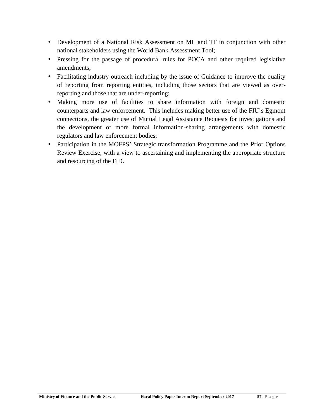- Development of a National Risk Assessment on ML and TF in conjunction with other national stakeholders using the World Bank Assessment Tool;
- Pressing for the passage of procedural rules for POCA and other required legislative amendments;
- Facilitating industry outreach including by the issue of Guidance to improve the quality of reporting from reporting entities, including those sectors that are viewed as overreporting and those that are under-reporting;
- Making more use of facilities to share information with foreign and domestic counterparts and law enforcement. This includes making better use of the FIU's Egmont connections, the greater use of Mutual Legal Assistance Requests for investigations and the development of more formal information-sharing arrangements with domestic regulators and law enforcement bodies;
- Participation in the MOFPS' Strategic transformation Programme and the Prior Options Review Exercise, with a view to ascertaining and implementing the appropriate structure and resourcing of the FID.